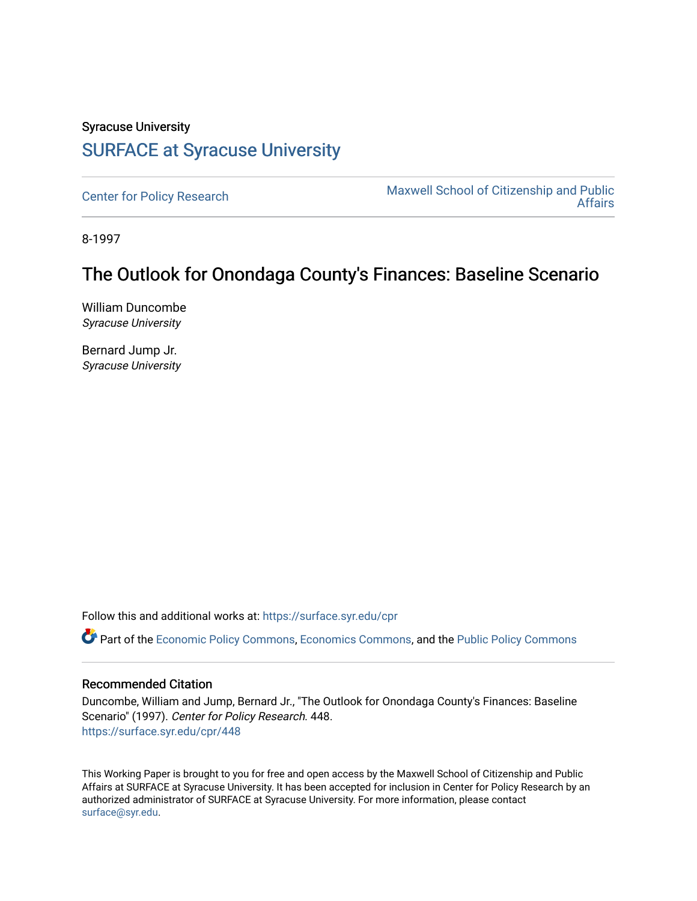# Syracuse University [SURFACE at Syracuse University](https://surface.syr.edu/)

[Center for Policy Research](https://surface.syr.edu/cpr) Maxwell School of Citizenship and Public [Affairs](https://surface.syr.edu/maxwell) 

8-1997

# The Outlook for Onondaga County's Finances: Baseline Scenario

William Duncombe Syracuse University

Bernard Jump Jr. Syracuse University

Follow this and additional works at: [https://surface.syr.edu/cpr](https://surface.syr.edu/cpr?utm_source=surface.syr.edu%2Fcpr%2F448&utm_medium=PDF&utm_campaign=PDFCoverPages) 

Part of the [Economic Policy Commons](http://network.bepress.com/hgg/discipline/1025?utm_source=surface.syr.edu%2Fcpr%2F448&utm_medium=PDF&utm_campaign=PDFCoverPages), [Economics Commons,](http://network.bepress.com/hgg/discipline/340?utm_source=surface.syr.edu%2Fcpr%2F448&utm_medium=PDF&utm_campaign=PDFCoverPages) and the [Public Policy Commons](http://network.bepress.com/hgg/discipline/400?utm_source=surface.syr.edu%2Fcpr%2F448&utm_medium=PDF&utm_campaign=PDFCoverPages) 

#### Recommended Citation

Duncombe, William and Jump, Bernard Jr., "The Outlook for Onondaga County's Finances: Baseline Scenario" (1997). Center for Policy Research. 448. [https://surface.syr.edu/cpr/448](https://surface.syr.edu/cpr/448?utm_source=surface.syr.edu%2Fcpr%2F448&utm_medium=PDF&utm_campaign=PDFCoverPages) 

This Working Paper is brought to you for free and open access by the Maxwell School of Citizenship and Public Affairs at SURFACE at Syracuse University. It has been accepted for inclusion in Center for Policy Research by an authorized administrator of SURFACE at Syracuse University. For more information, please contact [surface@syr.edu.](mailto:surface@syr.edu)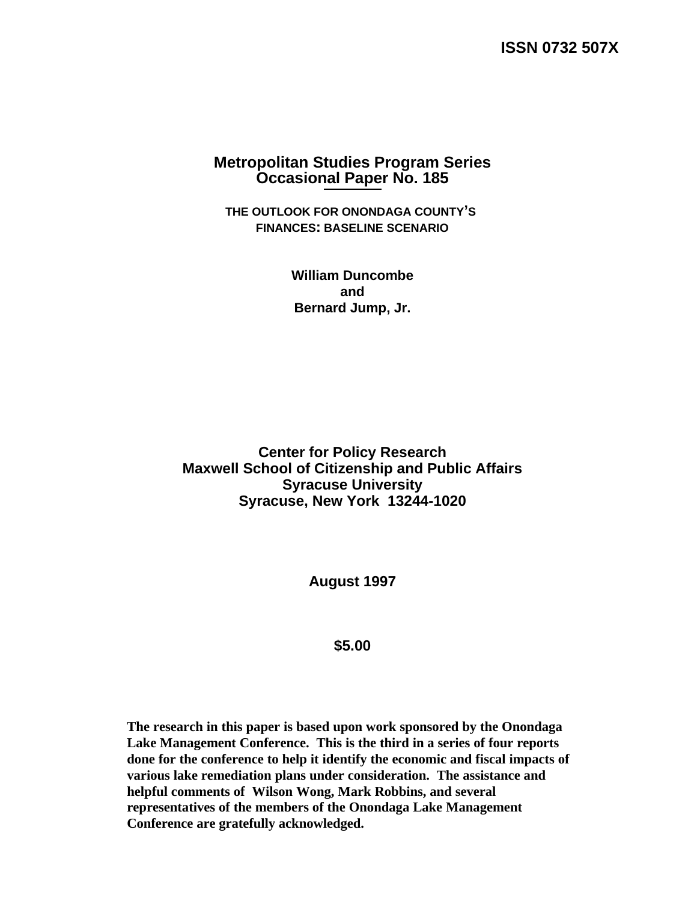**ISSN 0732 507X** 

### **Metropolitan Studies Program Series Occasional Paper No. 185**

**THE OUTLOOK FOR ONONDAGA COUNTY'S FINANCES: BASELINE SCENARIO** 

> **William Duncombe and Bernard Jump, Jr.**

**Center for Policy Research Maxwell School of Citizenship and Public Affairs Syracuse University Syracuse, New York 13244-1020** 

**August 1997** 

**\$5.00** 

**The research in this paper is based upon work sponsored by the Onondaga Lake Management Conference. This is the third in a series of four reports done for the conference to help it identify the economic and fiscal impacts of various lake remediation plans under consideration. The assistance and helpful comments of Wilson Wong, Mark Robbins, and several representatives of the members of the Onondaga Lake Management Conference are gratefully acknowledged.**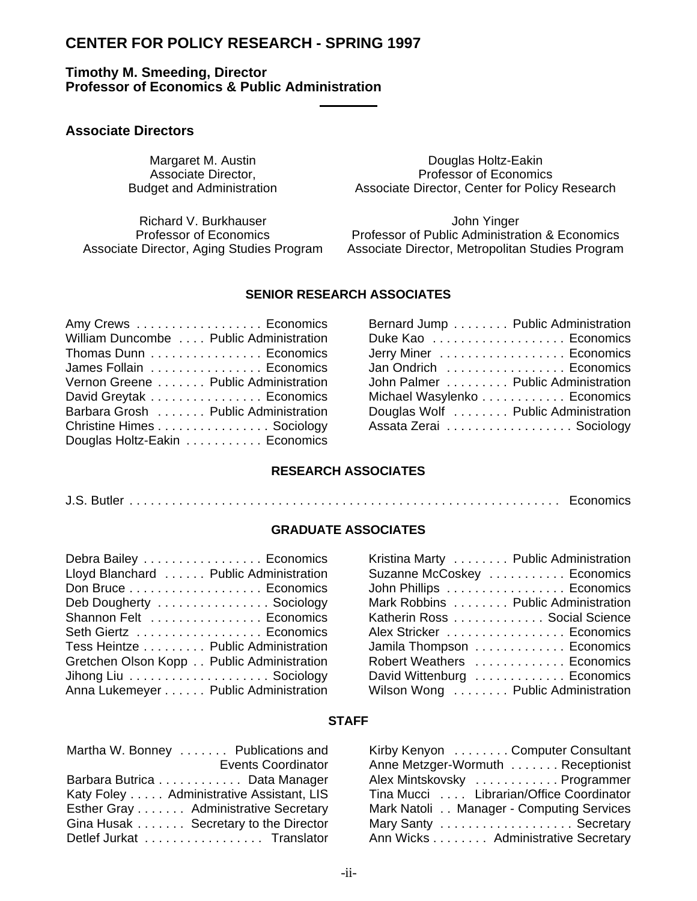## **CENTER FOR POLICY RESEARCH - SPRING 1997**

### **Timothy M. Smeeding, Director Professor of Economics & Public Administration**

#### **Associate Directors**

#### Margaret M. Austin **Douglas Holtz-Eakin**<br>
Associate Director, **Network** Professor of Economic Associate Director,<br>Budget and Administration Budget and Administration Associate Director, Center for Policy Associate Director, Center for Policy Research

Richard V. Burkhauser **John Yinger** John Yinger

Professor of Economics Professor of Public Administration & Economics Associate Director, Aging Studies Program Associate Director, Metropolitan Studies Program

#### **SENIOR RESEARCH ASSOCIATES**

| Amy Crews Economics                     | Bernard Jump Public Administration  |  |
|-----------------------------------------|-------------------------------------|--|
| William Duncombe  Public Administration | Duke Kao  Economics                 |  |
| Thomas Dunn Economics                   | Jerry Miner Economics               |  |
| James Follain  Economics                | Jan Ondrich  Economics              |  |
| Vernon Greene Public Administration     | John Palmer Public Administration   |  |
| David Greytak Economics                 | Michael Wasylenko Economics         |  |
| Barbara Grosh Public Administration     | Douglas Wolf  Public Administration |  |
| Christine Himes Sociology               | Assata Zerai Sociology              |  |
| Douglas Holtz-Eakin Economics           |                                     |  |
|                                         |                                     |  |

| Bernard Jump Public Administration  |  |
|-------------------------------------|--|
| Duke Kao Economics                  |  |
| Jerry Miner  Economics              |  |
| Jan Ondrich  Economics              |  |
| John Palmer  Public Administration  |  |
| Michael Wasylenko Economics         |  |
| Douglas Wolf  Public Administration |  |
| Assata Zerai Sociology              |  |
|                                     |  |

#### **RESEARCH ASSOCIATES**

J.S. Butler ............................................................. Economics

#### **GRADUATE ASSOCIATES**

| Debra Bailey Economics                    | Kristina Marty  Public Administration |
|-------------------------------------------|---------------------------------------|
| Lloyd Blanchard Public Administration     | Suzanne McCoskey  Economics           |
|                                           | John Phillips Economics               |
| Deb Dougherty  Sociology                  | Mark Robbins  Public Administration   |
| Shannon Felt  Economics                   | Katherin Ross Social Science          |
| Seth Giertz Economics                     | Alex Stricker Economics               |
| Tess Heintze Public Administration        | Jamila Thompson  Economics            |
| Gretchen Olson Kopp Public Administration | Robert Weathers  Economics            |
|                                           | David Wittenburg  Economics           |
| Anna Lukemeyer Public Administration      | Wilson Wong  Public Administration    |

| Kristina Marty  Public Administration |
|---------------------------------------|
| Suzanne McCoskey  Economics           |
| John Phillips Economics               |
| Mark Robbins  Public Administration   |
| Katherin Ross Social Science          |
| Alex Stricker  Economics              |
| Jamila Thompson  Economics            |
| Robert Weathers  Economics            |
| David Wittenburg  Economics           |
| Wilson Wong  Public Administration    |

#### **STAFF**

| Martha W. Bonney  Publications and       | Kirby Kenyon  Computer Consultant        |
|------------------------------------------|------------------------------------------|
| <b>Events Coordinator</b>                | Anne Metzger-Wormuth  Receptionist       |
| Barbara Butrica Data Manager             | Alex Mintskovsky  Programmer             |
| Katy Foley Administrative Assistant, LIS | Tina Mucci Librarian/Office Coordinator  |
| Esther Gray Administrative Secretary     | Mark Natoli Manager - Computing Services |
| Gina Husak Secretary to the Director     | Mary Santy Secretary                     |
| Detlef Jurkat Translator                 | Ann Wicks Administrative Secretary       |

| Martha W. Bonney  Publications and<br>Kirby Kenyon  Computer Consultant             |  |
|-------------------------------------------------------------------------------------|--|
| <b>Events Coordinator</b><br>Anne Metzger-Wormuth  Receptionist                     |  |
| Barbara Butrica Data Manager<br>Alex Mintskovsky  Programmer                        |  |
| Katy Foley Administrative Assistant, LIS<br>Tina Mucci Librarian/Office Coordinator |  |
| Esther Gray  Administrative Secretary<br>Mark Natoli Manager - Computing Services   |  |
| Gina Husak Secretary to the Director<br>Mary Santy  Secretary                       |  |
| Ann Wicks Administrative Secretary<br>Detlef Jurkat  Translator                     |  |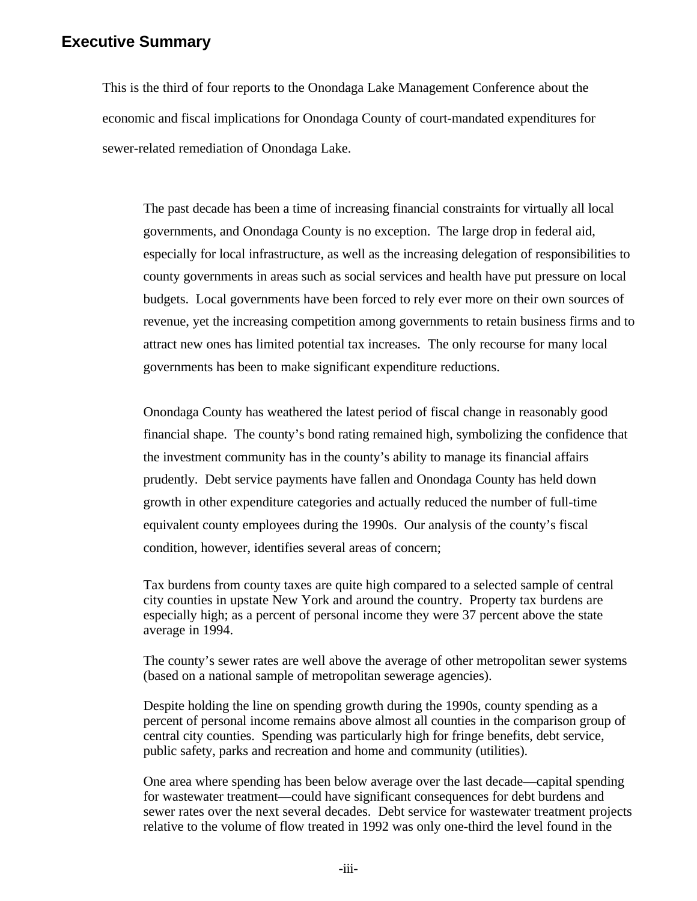### **Executive Summary**

This is the third of four reports to the Onondaga Lake Management Conference about the economic and fiscal implications for Onondaga County of court-mandated expenditures for sewer-related remediation of Onondaga Lake.

The past decade has been a time of increasing financial constraints for virtually all local governments, and Onondaga County is no exception. The large drop in federal aid, especially for local infrastructure, as well as the increasing delegation of responsibilities to county governments in areas such as social services and health have put pressure on local budgets. Local governments have been forced to rely ever more on their own sources of revenue, yet the increasing competition among governments to retain business firms and to attract new ones has limited potential tax increases. The only recourse for many local governments has been to make significant expenditure reductions.

Onondaga County has weathered the latest period of fiscal change in reasonably good financial shape. The county's bond rating remained high, symbolizing the confidence that the investment community has in the county's ability to manage its financial affairs prudently. Debt service payments have fallen and Onondaga County has held down growth in other expenditure categories and actually reduced the number of full-time equivalent county employees during the 1990s. Our analysis of the county's fiscal condition, however, identifies several areas of concern;

Tax burdens from county taxes are quite high compared to a selected sample of central city counties in upstate New York and around the country. Property tax burdens are especially high; as a percent of personal income they were 37 percent above the state average in 1994.

The county's sewer rates are well above the average of other metropolitan sewer systems (based on a national sample of metropolitan sewerage agencies).

Despite holding the line on spending growth during the 1990s, county spending as a percent of personal income remains above almost all counties in the comparison group of central city counties. Spending was particularly high for fringe benefits, debt service, public safety, parks and recreation and home and community (utilities).

One area where spending has been below average over the last decade—capital spending for wastewater treatment—could have significant consequences for debt burdens and sewer rates over the next several decades. Debt service for wastewater treatment projects relative to the volume of flow treated in 1992 was only one-third the level found in the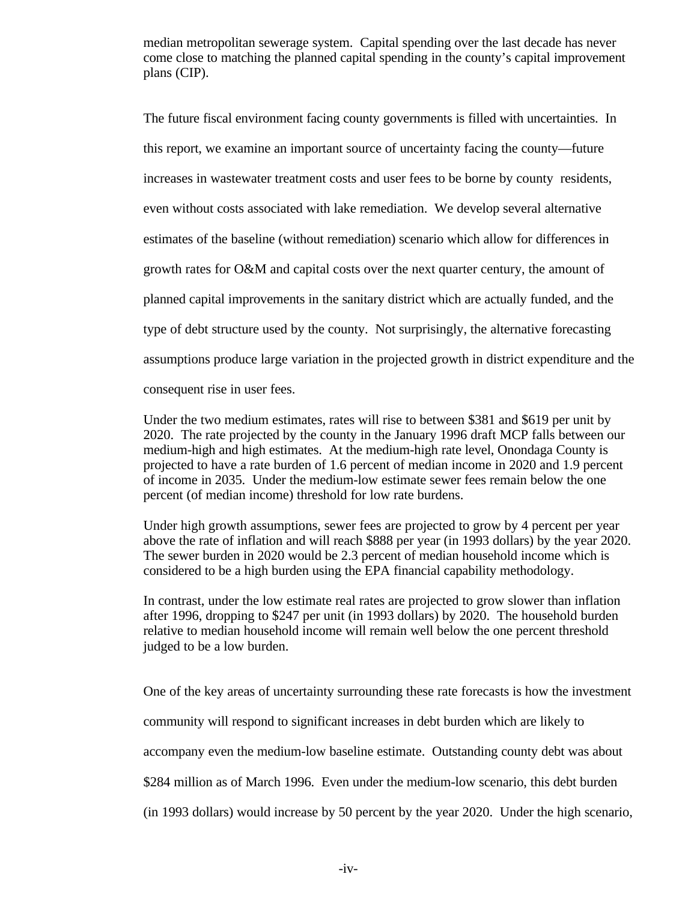median metropolitan sewerage system. Capital spending over the last decade has never come close to matching the planned capital spending in the county's capital improvement plans (CIP).

The future fiscal environment facing county governments is filled with uncertainties. In this report, we examine an important source of uncertainty facing the county—future increases in wastewater treatment costs and user fees to be borne by county residents, even without costs associated with lake remediation. We develop several alternative estimates of the baseline (without remediation) scenario which allow for differences in growth rates for O&M and capital costs over the next quarter century, the amount of planned capital improvements in the sanitary district which are actually funded, and the type of debt structure used by the county. Not surprisingly, the alternative forecasting assumptions produce large variation in the projected growth in district expenditure and the consequent rise in user fees.

Under the two medium estimates, rates will rise to between \$381 and \$619 per unit by 2020. The rate projected by the county in the January 1996 draft MCP falls between our medium-high and high estimates. At the medium-high rate level, Onondaga County is projected to have a rate burden of 1.6 percent of median income in 2020 and 1.9 percent of income in 2035. Under the medium-low estimate sewer fees remain below the one percent (of median income) threshold for low rate burdens.

Under high growth assumptions, sewer fees are projected to grow by 4 percent per year above the rate of inflation and will reach \$888 per year (in 1993 dollars) by the year 2020. The sewer burden in 2020 would be 2.3 percent of median household income which is considered to be a high burden using the EPA financial capability methodology.

In contrast, under the low estimate real rates are projected to grow slower than inflation after 1996, dropping to \$247 per unit (in 1993 dollars) by 2020. The household burden relative to median household income will remain well below the one percent threshold judged to be a low burden.

One of the key areas of uncertainty surrounding these rate forecasts is how the investment community will respond to significant increases in debt burden which are likely to accompany even the medium-low baseline estimate. Outstanding county debt was about \$284 million as of March 1996. Even under the medium-low scenario, this debt burden (in 1993 dollars) would increase by 50 percent by the year 2020. Under the high scenario,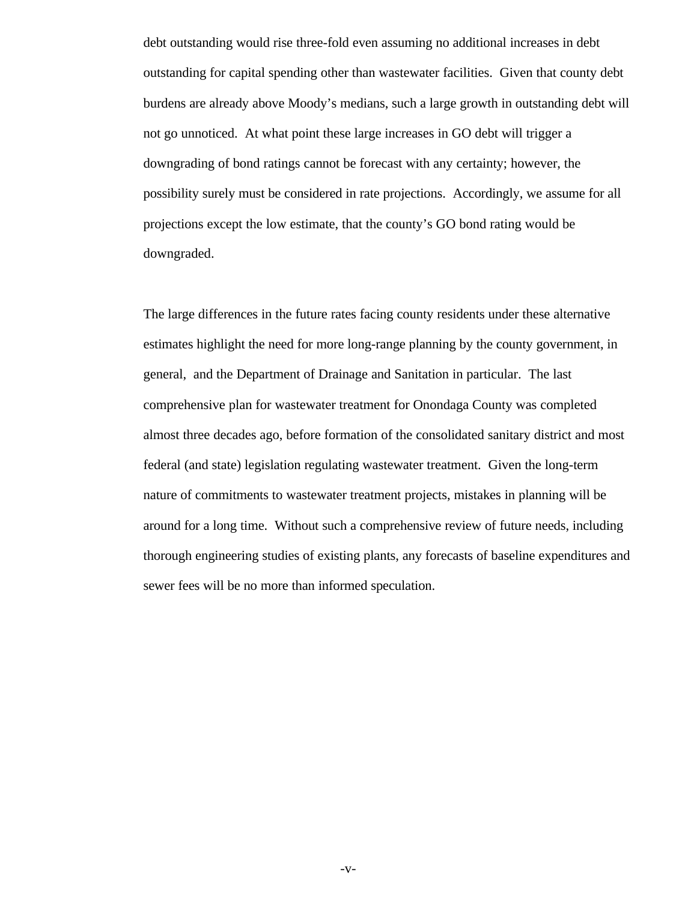debt outstanding would rise three-fold even assuming no additional increases in debt outstanding for capital spending other than wastewater facilities. Given that county debt burdens are already above Moody's medians, such a large growth in outstanding debt will not go unnoticed. At what point these large increases in GO debt will trigger a downgrading of bond ratings cannot be forecast with any certainty; however, the possibility surely must be considered in rate projections. Accordingly, we assume for all projections except the low estimate, that the county's GO bond rating would be downgraded.

The large differences in the future rates facing county residents under these alternative estimates highlight the need for more long-range planning by the county government, in general, and the Department of Drainage and Sanitation in particular. The last comprehensive plan for wastewater treatment for Onondaga County was completed almost three decades ago, before formation of the consolidated sanitary district and most federal (and state) legislation regulating wastewater treatment. Given the long-term nature of commitments to wastewater treatment projects, mistakes in planning will be around for a long time. Without such a comprehensive review of future needs, including thorough engineering studies of existing plants, any forecasts of baseline expenditures and sewer fees will be no more than informed speculation.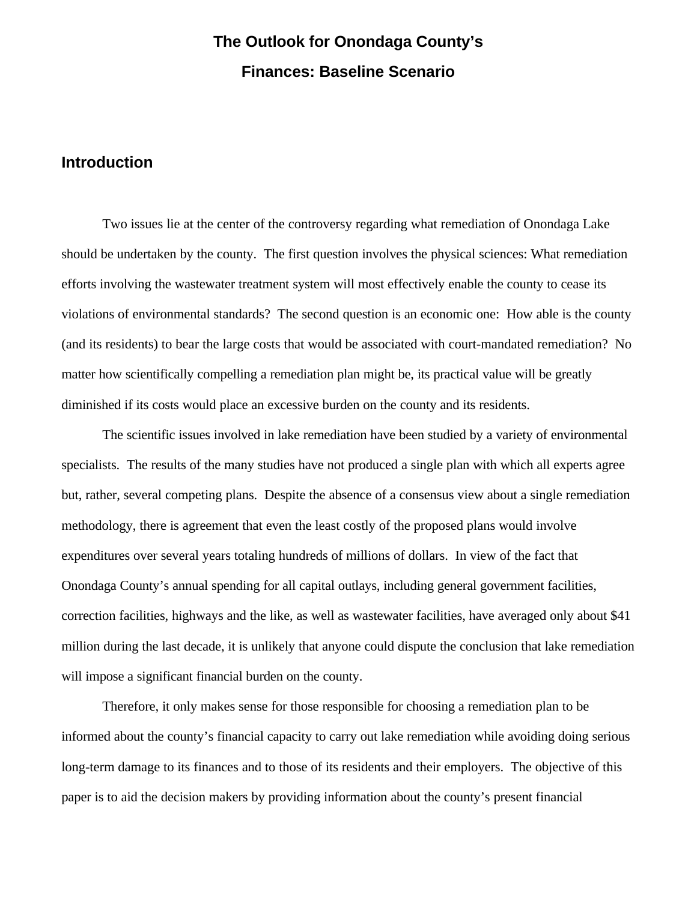# **The Outlook for Onondaga County's Finances: Baseline Scenario**

# **Introduction**

Two issues lie at the center of the controversy regarding what remediation of Onondaga Lake should be undertaken by the county. The first question involves the physical sciences: What remediation efforts involving the wastewater treatment system will most effectively enable the county to cease its violations of environmental standards? The second question is an economic one: How able is the county (and its residents) to bear the large costs that would be associated with court-mandated remediation? No matter how scientifically compelling a remediation plan might be, its practical value will be greatly diminished if its costs would place an excessive burden on the county and its residents.

The scientific issues involved in lake remediation have been studied by a variety of environmental specialists. The results of the many studies have not produced a single plan with which all experts agree but, rather, several competing plans. Despite the absence of a consensus view about a single remediation methodology, there is agreement that even the least costly of the proposed plans would involve expenditures over several years totaling hundreds of millions of dollars. In view of the fact that Onondaga County's annual spending for all capital outlays, including general government facilities, correction facilities, highways and the like, as well as wastewater facilities, have averaged only about \$41 million during the last decade, it is unlikely that anyone could dispute the conclusion that lake remediation will impose a significant financial burden on the county.

Therefore, it only makes sense for those responsible for choosing a remediation plan to be informed about the county's financial capacity to carry out lake remediation while avoiding doing serious long-term damage to its finances and to those of its residents and their employers. The objective of this paper is to aid the decision makers by providing information about the county's present financial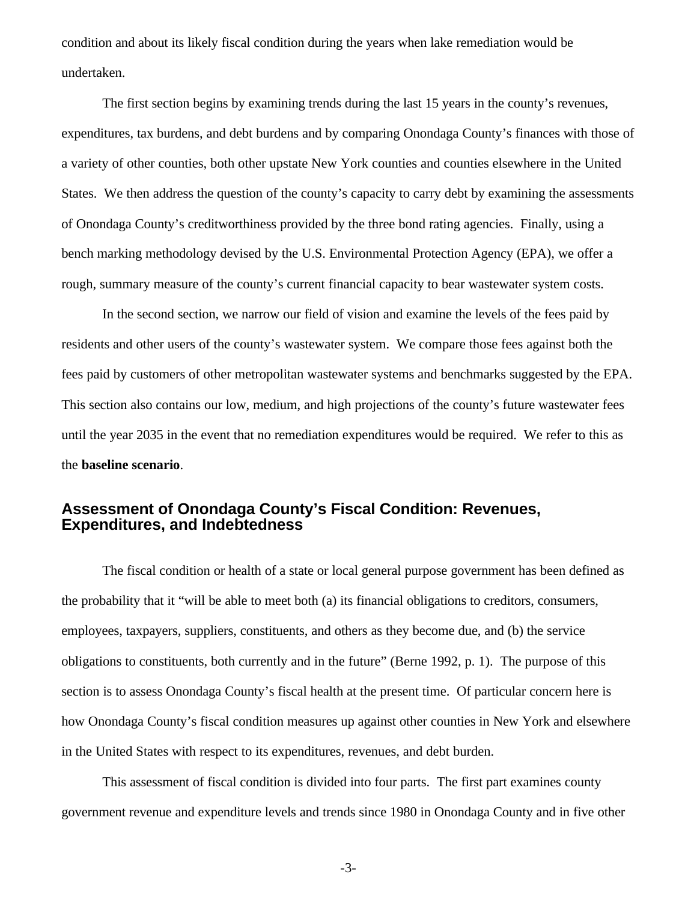condition and about its likely fiscal condition during the years when lake remediation would be undertaken.

The first section begins by examining trends during the last 15 years in the county's revenues, expenditures, tax burdens, and debt burdens and by comparing Onondaga County's finances with those of a variety of other counties, both other upstate New York counties and counties elsewhere in the United States. We then address the question of the county's capacity to carry debt by examining the assessments of Onondaga County's creditworthiness provided by the three bond rating agencies. Finally, using a bench marking methodology devised by the U.S. Environmental Protection Agency (EPA), we offer a rough, summary measure of the county's current financial capacity to bear wastewater system costs.

In the second section, we narrow our field of vision and examine the levels of the fees paid by residents and other users of the county's wastewater system. We compare those fees against both the fees paid by customers of other metropolitan wastewater systems and benchmarks suggested by the EPA. This section also contains our low, medium, and high projections of the county's future wastewater fees until the year 2035 in the event that no remediation expenditures would be required. We refer to this as the **baseline scenario**.

## **Assessment of Onondaga County's Fiscal Condition: Revenues, Expenditures, and Indebtedness**

The fiscal condition or health of a state or local general purpose government has been defined as the probability that it "will be able to meet both (a) its financial obligations to creditors, consumers, employees, taxpayers, suppliers, constituents, and others as they become due, and (b) the service obligations to constituents, both currently and in the future" (Berne 1992, p. 1). The purpose of this section is to assess Onondaga County's fiscal health at the present time. Of particular concern here is how Onondaga County's fiscal condition measures up against other counties in New York and elsewhere in the United States with respect to its expenditures, revenues, and debt burden.

This assessment of fiscal condition is divided into four parts. The first part examines county government revenue and expenditure levels and trends since 1980 in Onondaga County and in five other

-3-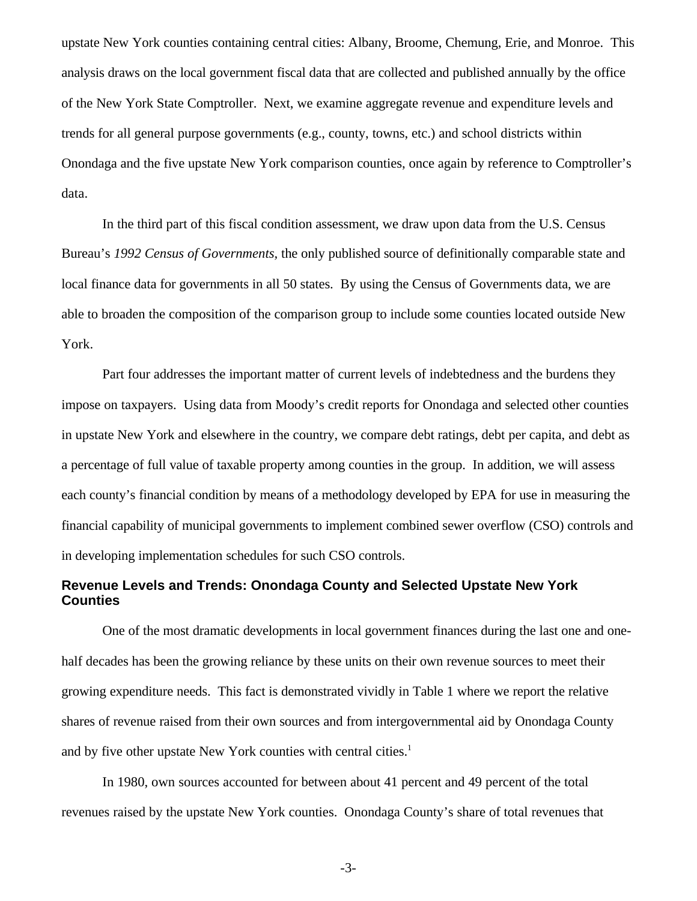upstate New York counties containing central cities: Albany, Broome, Chemung, Erie, and Monroe. This analysis draws on the local government fiscal data that are collected and published annually by the office of the New York State Comptroller. Next, we examine aggregate revenue and expenditure levels and trends for all general purpose governments (e.g., county, towns, etc.) and school districts within Onondaga and the five upstate New York comparison counties, once again by reference to Comptroller's data.

In the third part of this fiscal condition assessment, we draw upon data from the U.S. Census Bureau's *1992 Census of Governments,* the only published source of definitionally comparable state and local finance data for governments in all 50 states. By using the Census of Governments data, we are able to broaden the composition of the comparison group to include some counties located outside New York.

Part four addresses the important matter of current levels of indebtedness and the burdens they impose on taxpayers. Using data from Moody's credit reports for Onondaga and selected other counties in upstate New York and elsewhere in the country, we compare debt ratings, debt per capita, and debt as a percentage of full value of taxable property among counties in the group. In addition, we will assess each county's financial condition by means of a methodology developed by EPA for use in measuring the financial capability of municipal governments to implement combined sewer overflow (CSO) controls and in developing implementation schedules for such CSO controls.

### **Revenue Levels and Trends: Onondaga County and Selected Upstate New York Counties**

One of the most dramatic developments in local government finances during the last one and onehalf decades has been the growing reliance by these units on their own revenue sources to meet their growing expenditure needs. This fact is demonstrated vividly in Table 1 where we report the relative shares of revenue raised from their own sources and from intergovernmental aid by Onondaga County and by five other upstate New York counties with central cities.<sup>1</sup>

In 1980, own sources accounted for between about 41 percent and 49 percent of the total revenues raised by the upstate New York counties. Onondaga County's share of total revenues that

-3-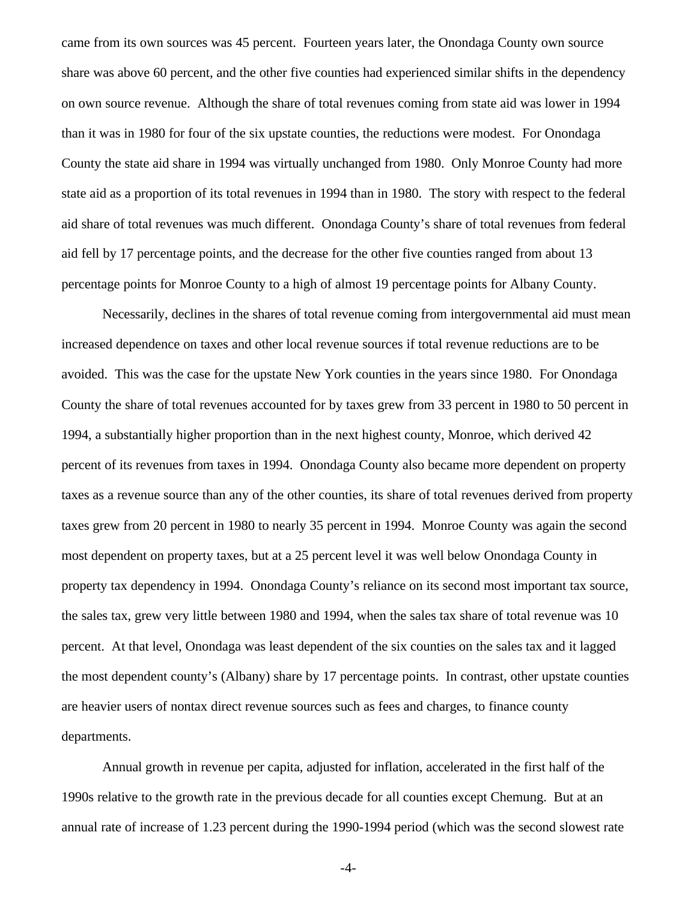came from its own sources was 45 percent. Fourteen years later, the Onondaga County own source share was above 60 percent, and the other five counties had experienced similar shifts in the dependency on own source revenue. Although the share of total revenues coming from state aid was lower in 1994 than it was in 1980 for four of the six upstate counties, the reductions were modest. For Onondaga County the state aid share in 1994 was virtually unchanged from 1980. Only Monroe County had more state aid as a proportion of its total revenues in 1994 than in 1980. The story with respect to the federal aid share of total revenues was much different. Onondaga County's share of total revenues from federal aid fell by 17 percentage points, and the decrease for the other five counties ranged from about 13 percentage points for Monroe County to a high of almost 19 percentage points for Albany County.

Necessarily, declines in the shares of total revenue coming from intergovernmental aid must mean increased dependence on taxes and other local revenue sources if total revenue reductions are to be avoided. This was the case for the upstate New York counties in the years since 1980. For Onondaga County the share of total revenues accounted for by taxes grew from 33 percent in 1980 to 50 percent in 1994, a substantially higher proportion than in the next highest county, Monroe, which derived 42 percent of its revenues from taxes in 1994. Onondaga County also became more dependent on property taxes as a revenue source than any of the other counties, its share of total revenues derived from property taxes grew from 20 percent in 1980 to nearly 35 percent in 1994. Monroe County was again the second most dependent on property taxes, but at a 25 percent level it was well below Onondaga County in property tax dependency in 1994. Onondaga County's reliance on its second most important tax source, the sales tax, grew very little between 1980 and 1994, when the sales tax share of total revenue was 10 percent. At that level, Onondaga was least dependent of the six counties on the sales tax and it lagged the most dependent county's (Albany) share by 17 percentage points. In contrast, other upstate counties are heavier users of nontax direct revenue sources such as fees and charges, to finance county departments.

Annual growth in revenue per capita, adjusted for inflation, accelerated in the first half of the 1990s relative to the growth rate in the previous decade for all counties except Chemung. But at an annual rate of increase of 1.23 percent during the 1990-1994 period (which was the second slowest rate

-4-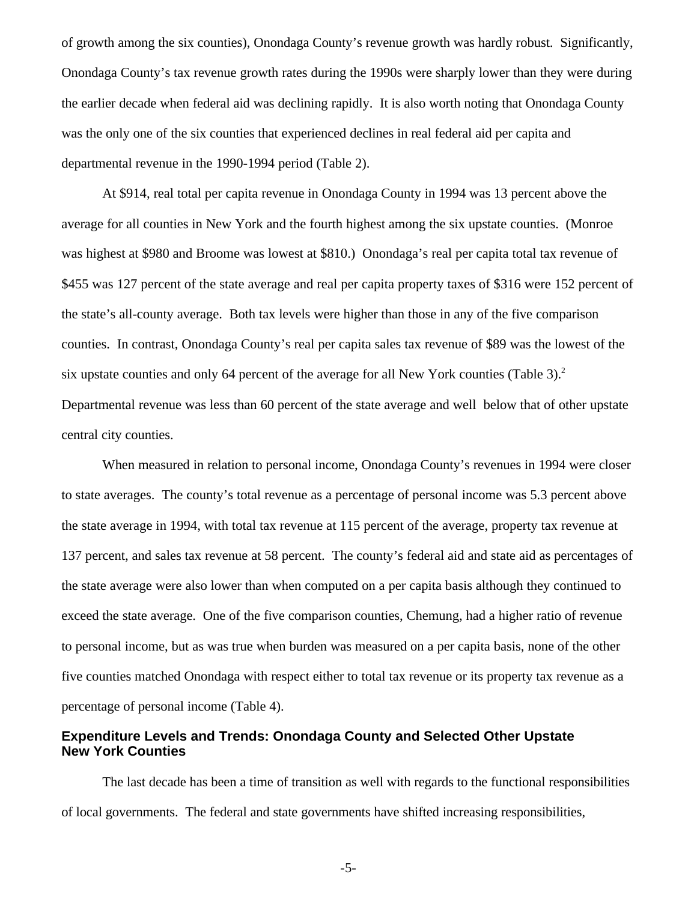of growth among the six counties), Onondaga County's revenue growth was hardly robust. Significantly, Onondaga County's tax revenue growth rates during the 1990s were sharply lower than they were during the earlier decade when federal aid was declining rapidly. It is also worth noting that Onondaga County was the only one of the six counties that experienced declines in real federal aid per capita and departmental revenue in the 1990-1994 period (Table 2).

At \$914, real total per capita revenue in Onondaga County in 1994 was 13 percent above the average for all counties in New York and the fourth highest among the six upstate counties. (Monroe was highest at \$980 and Broome was lowest at \$810.) Onondaga's real per capita total tax revenue of \$455 was 127 percent of the state average and real per capita property taxes of \$316 were 152 percent of the state's all-county average. Both tax levels were higher than those in any of the five comparison counties. In contrast, Onondaga County's real per capita sales tax revenue of \$89 was the lowest of the six upstate counties and only 64 percent of the average for all New York counties (Table 3).<sup>2</sup> Departmental revenue was less than 60 percent of the state average and well below that of other upstate central city counties.

When measured in relation to personal income, Onondaga County's revenues in 1994 were closer to state averages. The county's total revenue as a percentage of personal income was 5.3 percent above the state average in 1994, with total tax revenue at 115 percent of the average, property tax revenue at 137 percent, and sales tax revenue at 58 percent. The county's federal aid and state aid as percentages of the state average were also lower than when computed on a per capita basis although they continued to exceed the state average. One of the five comparison counties, Chemung, had a higher ratio of revenue to personal income, but as was true when burden was measured on a per capita basis, none of the other five counties matched Onondaga with respect either to total tax revenue or its property tax revenue as a percentage of personal income (Table 4).

### **Expenditure Levels and Trends: Onondaga County and Selected Other Upstate New York Counties**

The last decade has been a time of transition as well with regards to the functional responsibilities of local governments. The federal and state governments have shifted increasing responsibilities,

-5-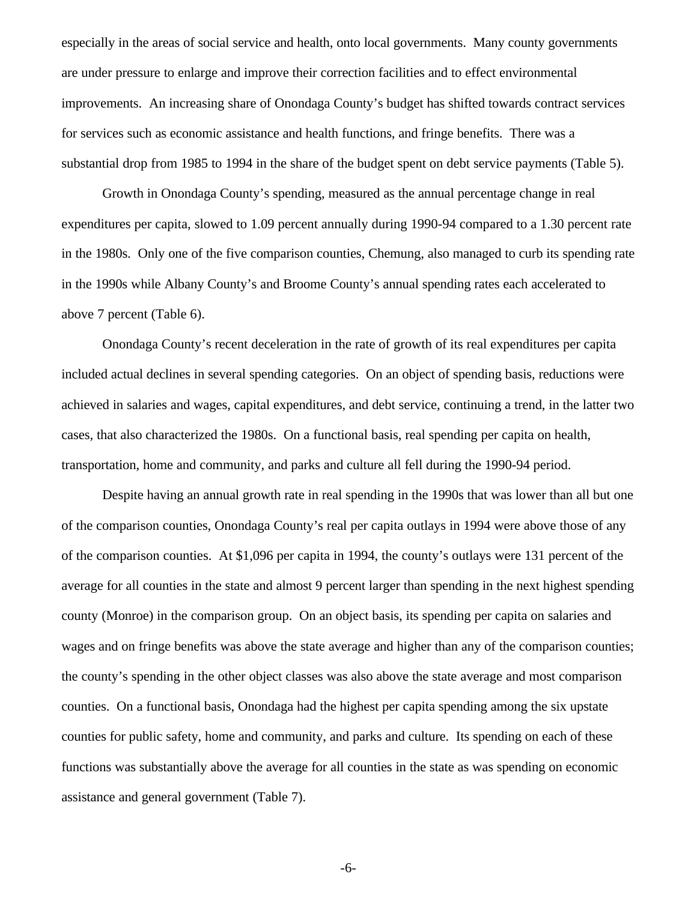especially in the areas of social service and health, onto local governments. Many county governments are under pressure to enlarge and improve their correction facilities and to effect environmental improvements. An increasing share of Onondaga County's budget has shifted towards contract services for services such as economic assistance and health functions, and fringe benefits. There was a substantial drop from 1985 to 1994 in the share of the budget spent on debt service payments (Table 5).

Growth in Onondaga County's spending, measured as the annual percentage change in real expenditures per capita, slowed to 1.09 percent annually during 1990-94 compared to a 1.30 percent rate in the 1980s. Only one of the five comparison counties, Chemung, also managed to curb its spending rate in the 1990s while Albany County's and Broome County's annual spending rates each accelerated to above 7 percent (Table 6).

Onondaga County's recent deceleration in the rate of growth of its real expenditures per capita included actual declines in several spending categories. On an object of spending basis, reductions were achieved in salaries and wages, capital expenditures, and debt service, continuing a trend, in the latter two cases, that also characterized the 1980s. On a functional basis, real spending per capita on health, transportation, home and community, and parks and culture all fell during the 1990-94 period.

Despite having an annual growth rate in real spending in the 1990s that was lower than all but one of the comparison counties, Onondaga County's real per capita outlays in 1994 were above those of any of the comparison counties. At \$1,096 per capita in 1994, the county's outlays were 131 percent of the average for all counties in the state and almost 9 percent larger than spending in the next highest spending county (Monroe) in the comparison group. On an object basis, its spending per capita on salaries and wages and on fringe benefits was above the state average and higher than any of the comparison counties; the county's spending in the other object classes was also above the state average and most comparison counties. On a functional basis, Onondaga had the highest per capita spending among the six upstate counties for public safety, home and community, and parks and culture. Its spending on each of these functions was substantially above the average for all counties in the state as was spending on economic assistance and general government (Table 7).

-6-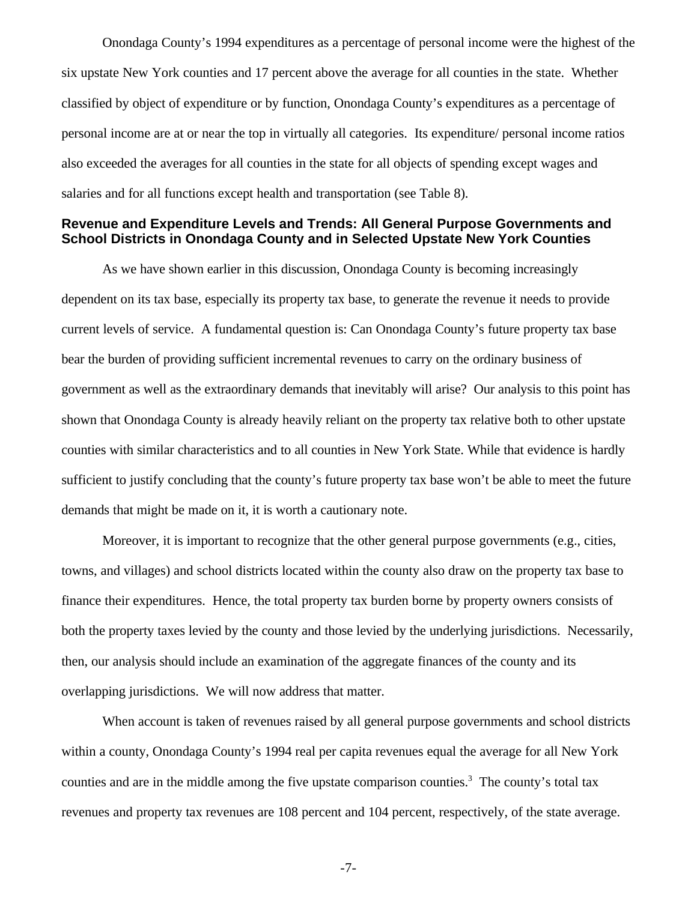Onondaga County's 1994 expenditures as a percentage of personal income were the highest of the six upstate New York counties and 17 percent above the average for all counties in the state. Whether classified by object of expenditure or by function, Onondaga County's expenditures as a percentage of personal income are at or near the top in virtually all categories. Its expenditure/ personal income ratios also exceeded the averages for all counties in the state for all objects of spending except wages and salaries and for all functions except health and transportation (see Table 8).

#### **Revenue and Expenditure Levels and Trends: All General Purpose Governments and School Districts in Onondaga County and in Selected Upstate New York Counties**

As we have shown earlier in this discussion, Onondaga County is becoming increasingly dependent on its tax base, especially its property tax base, to generate the revenue it needs to provide current levels of service. A fundamental question is: Can Onondaga County's future property tax base bear the burden of providing sufficient incremental revenues to carry on the ordinary business of government as well as the extraordinary demands that inevitably will arise? Our analysis to this point has shown that Onondaga County is already heavily reliant on the property tax relative both to other upstate counties with similar characteristics and to all counties in New York State. While that evidence is hardly sufficient to justify concluding that the county's future property tax base won't be able to meet the future demands that might be made on it, it is worth a cautionary note.

Moreover, it is important to recognize that the other general purpose governments (e.g., cities, towns, and villages) and school districts located within the county also draw on the property tax base to finance their expenditures. Hence, the total property tax burden borne by property owners consists of both the property taxes levied by the county and those levied by the underlying jurisdictions. Necessarily, then, our analysis should include an examination of the aggregate finances of the county and its overlapping jurisdictions. We will now address that matter.

When account is taken of revenues raised by all general purpose governments and school districts within a county, Onondaga County's 1994 real per capita revenues equal the average for all New York counties and are in the middle among the five upstate comparison counties.<sup>3</sup> The county's total tax revenues and property tax revenues are 108 percent and 104 percent, respectively, of the state average.

-7-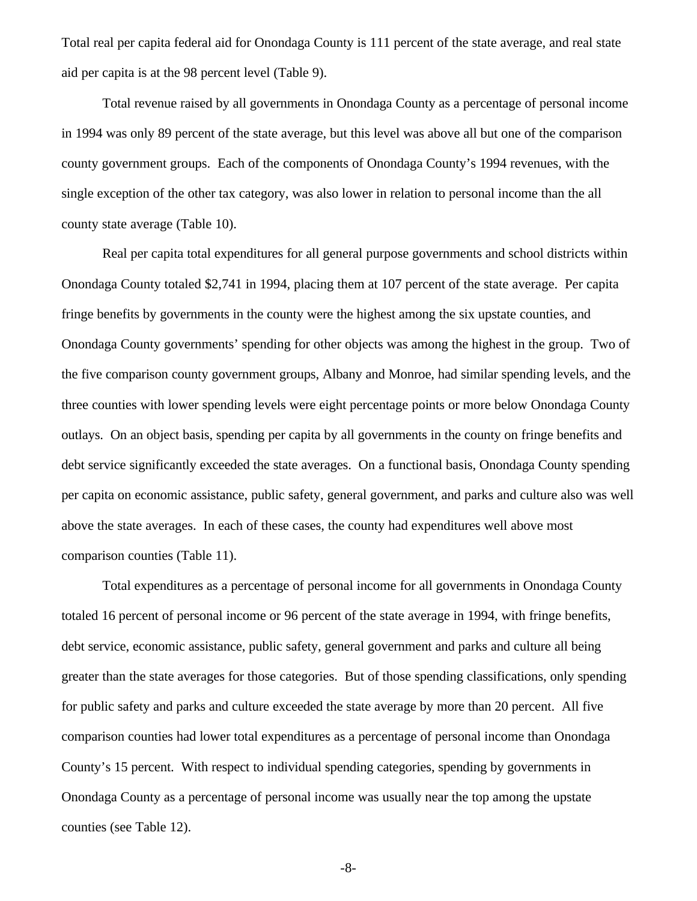Total real per capita federal aid for Onondaga County is 111 percent of the state average, and real state aid per capita is at the 98 percent level (Table 9).

Total revenue raised by all governments in Onondaga County as a percentage of personal income in 1994 was only 89 percent of the state average, but this level was above all but one of the comparison county government groups. Each of the components of Onondaga County's 1994 revenues, with the single exception of the other tax category, was also lower in relation to personal income than the all county state average (Table 10).

Real per capita total expenditures for all general purpose governments and school districts within Onondaga County totaled \$2,741 in 1994, placing them at 107 percent of the state average. Per capita fringe benefits by governments in the county were the highest among the six upstate counties, and Onondaga County governments' spending for other objects was among the highest in the group. Two of the five comparison county government groups, Albany and Monroe, had similar spending levels, and the three counties with lower spending levels were eight percentage points or more below Onondaga County outlays. On an object basis, spending per capita by all governments in the county on fringe benefits and debt service significantly exceeded the state averages. On a functional basis, Onondaga County spending per capita on economic assistance, public safety, general government, and parks and culture also was well above the state averages. In each of these cases, the county had expenditures well above most comparison counties (Table 11).

Total expenditures as a percentage of personal income for all governments in Onondaga County totaled 16 percent of personal income or 96 percent of the state average in 1994, with fringe benefits, debt service, economic assistance, public safety, general government and parks and culture all being greater than the state averages for those categories. But of those spending classifications, only spending for public safety and parks and culture exceeded the state average by more than 20 percent. All five comparison counties had lower total expenditures as a percentage of personal income than Onondaga County's 15 percent. With respect to individual spending categories, spending by governments in Onondaga County as a percentage of personal income was usually near the top among the upstate counties (see Table 12).

-8-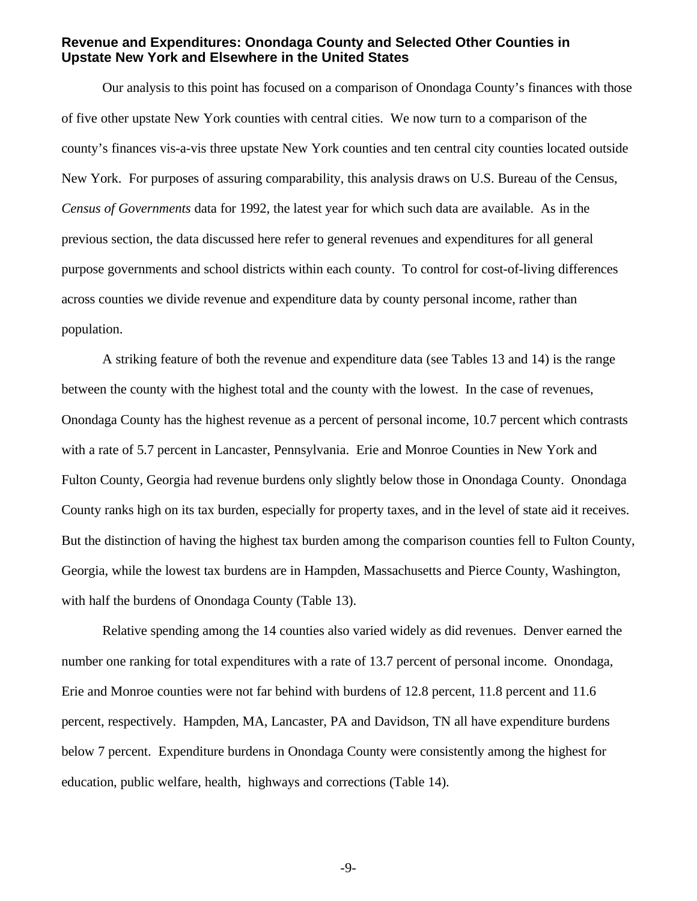#### **Revenue and Expenditures: Onondaga County and Selected Other Counties in Upstate New York and Elsewhere in the United States**

Our analysis to this point has focused on a comparison of Onondaga County's finances with those of five other upstate New York counties with central cities. We now turn to a comparison of the county's finances vis-a-vis three upstate New York counties and ten central city counties located outside New York. For purposes of assuring comparability, this analysis draws on U.S. Bureau of the Census, *Census of Governments* data for 1992, the latest year for which such data are available. As in the previous section, the data discussed here refer to general revenues and expenditures for all general purpose governments and school districts within each county. To control for cost-of-living differences across counties we divide revenue and expenditure data by county personal income, rather than population.

A striking feature of both the revenue and expenditure data (see Tables 13 and 14) is the range between the county with the highest total and the county with the lowest. In the case of revenues, Onondaga County has the highest revenue as a percent of personal income, 10.7 percent which contrasts with a rate of 5.7 percent in Lancaster, Pennsylvania. Erie and Monroe Counties in New York and Fulton County, Georgia had revenue burdens only slightly below those in Onondaga County. Onondaga County ranks high on its tax burden, especially for property taxes, and in the level of state aid it receives. But the distinction of having the highest tax burden among the comparison counties fell to Fulton County, Georgia, while the lowest tax burdens are in Hampden, Massachusetts and Pierce County, Washington, with half the burdens of Onondaga County (Table 13).

Relative spending among the 14 counties also varied widely as did revenues. Denver earned the number one ranking for total expenditures with a rate of 13.7 percent of personal income. Onondaga, Erie and Monroe counties were not far behind with burdens of 12.8 percent, 11.8 percent and 11.6 percent, respectively. Hampden, MA, Lancaster, PA and Davidson, TN all have expenditure burdens below 7 percent. Expenditure burdens in Onondaga County were consistently among the highest for education, public welfare, health, highways and corrections (Table 14).

-9-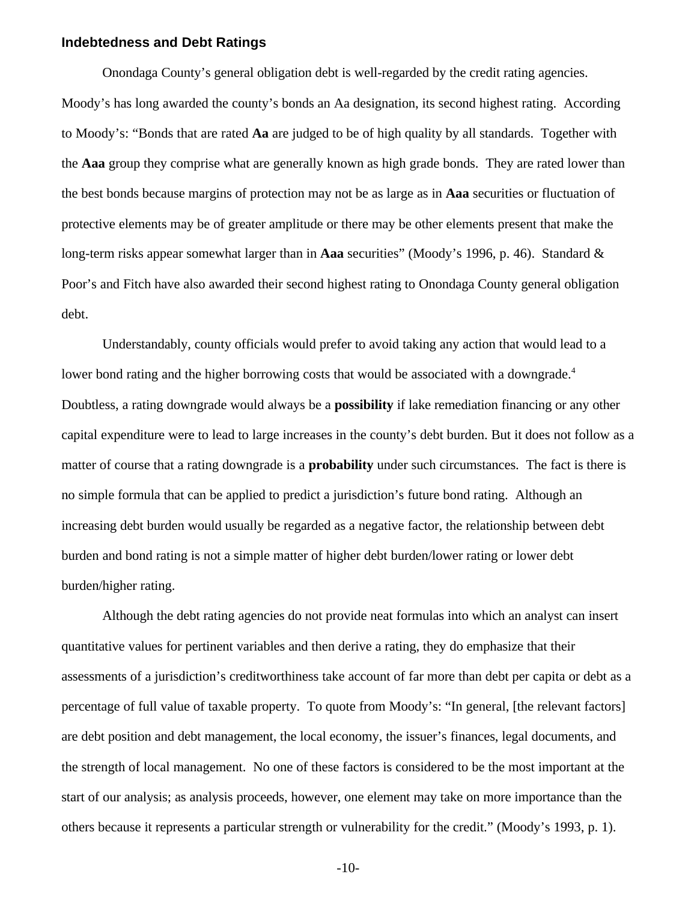#### **Indebtedness and Debt Ratings**

Onondaga County's general obligation debt is well-regarded by the credit rating agencies. Moody's has long awarded the county's bonds an Aa designation, its second highest rating. According to Moody's: "Bonds that are rated **Aa** are judged to be of high quality by all standards. Together with the **Aaa** group they comprise what are generally known as high grade bonds. They are rated lower than the best bonds because margins of protection may not be as large as in **Aaa** securities or fluctuation of protective elements may be of greater amplitude or there may be other elements present that make the long-term risks appear somewhat larger than in **Aaa** securities" (Moody's 1996, p. 46). Standard & Poor's and Fitch have also awarded their second highest rating to Onondaga County general obligation debt.

Understandably, county officials would prefer to avoid taking any action that would lead to a lower bond rating and the higher borrowing costs that would be associated with a downgrade.<sup>4</sup> Doubtless, a rating downgrade would always be a **possibility** if lake remediation financing or any other capital expenditure were to lead to large increases in the county's debt burden. But it does not follow as a matter of course that a rating downgrade is a **probability** under such circumstances. The fact is there is no simple formula that can be applied to predict a jurisdiction's future bond rating. Although an increasing debt burden would usually be regarded as a negative factor, the relationship between debt burden and bond rating is not a simple matter of higher debt burden/lower rating or lower debt burden/higher rating.

Although the debt rating agencies do not provide neat formulas into which an analyst can insert quantitative values for pertinent variables and then derive a rating, they do emphasize that their assessments of a jurisdiction's creditworthiness take account of far more than debt per capita or debt as a percentage of full value of taxable property. To quote from Moody's: "In general, [the relevant factors] are debt position and debt management, the local economy, the issuer's finances, legal documents, and the strength of local management. No one of these factors is considered to be the most important at the start of our analysis; as analysis proceeds, however, one element may take on more importance than the others because it represents a particular strength or vulnerability for the credit." (Moody's 1993, p. 1).

-10-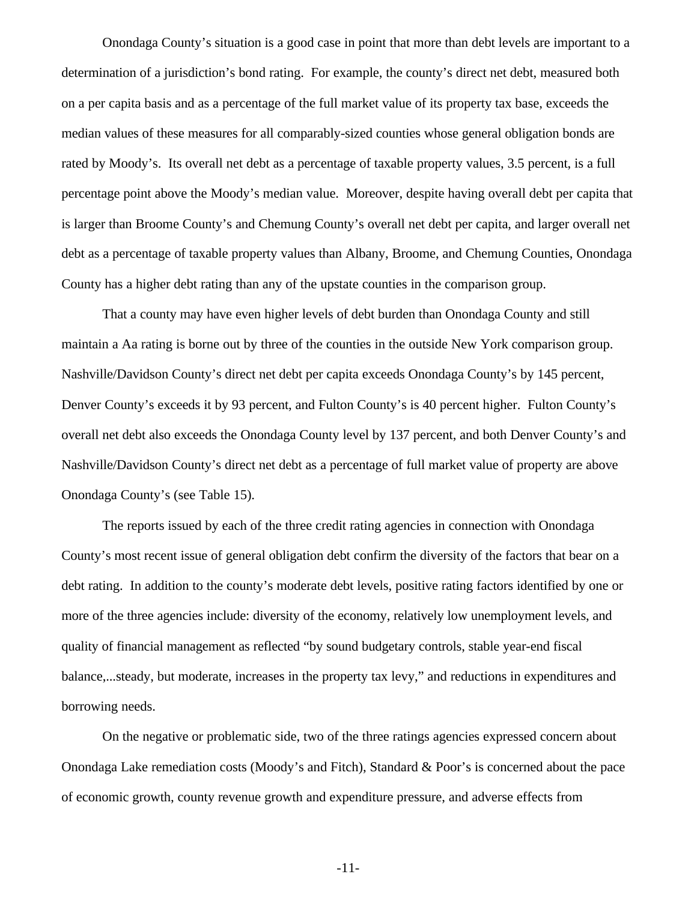Onondaga County's situation is a good case in point that more than debt levels are important to a determination of a jurisdiction's bond rating. For example, the county's direct net debt, measured both on a per capita basis and as a percentage of the full market value of its property tax base, exceeds the median values of these measures for all comparably-sized counties whose general obligation bonds are rated by Moody's. Its overall net debt as a percentage of taxable property values, 3.5 percent, is a full percentage point above the Moody's median value. Moreover, despite having overall debt per capita that is larger than Broome County's and Chemung County's overall net debt per capita, and larger overall net debt as a percentage of taxable property values than Albany, Broome, and Chemung Counties, Onondaga County has a higher debt rating than any of the upstate counties in the comparison group.

That a county may have even higher levels of debt burden than Onondaga County and still maintain a Aa rating is borne out by three of the counties in the outside New York comparison group. Nashville/Davidson County's direct net debt per capita exceeds Onondaga County's by 145 percent, Denver County's exceeds it by 93 percent, and Fulton County's is 40 percent higher. Fulton County's overall net debt also exceeds the Onondaga County level by 137 percent, and both Denver County's and Nashville/Davidson County's direct net debt as a percentage of full market value of property are above Onondaga County's (see Table 15).

The reports issued by each of the three credit rating agencies in connection with Onondaga County's most recent issue of general obligation debt confirm the diversity of the factors that bear on a debt rating. In addition to the county's moderate debt levels, positive rating factors identified by one or more of the three agencies include: diversity of the economy, relatively low unemployment levels, and quality of financial management as reflected "by sound budgetary controls, stable year-end fiscal balance,...steady, but moderate, increases in the property tax levy," and reductions in expenditures and borrowing needs.

On the negative or problematic side, two of the three ratings agencies expressed concern about Onondaga Lake remediation costs (Moody's and Fitch), Standard & Poor's is concerned about the pace of economic growth, county revenue growth and expenditure pressure, and adverse effects from

-11-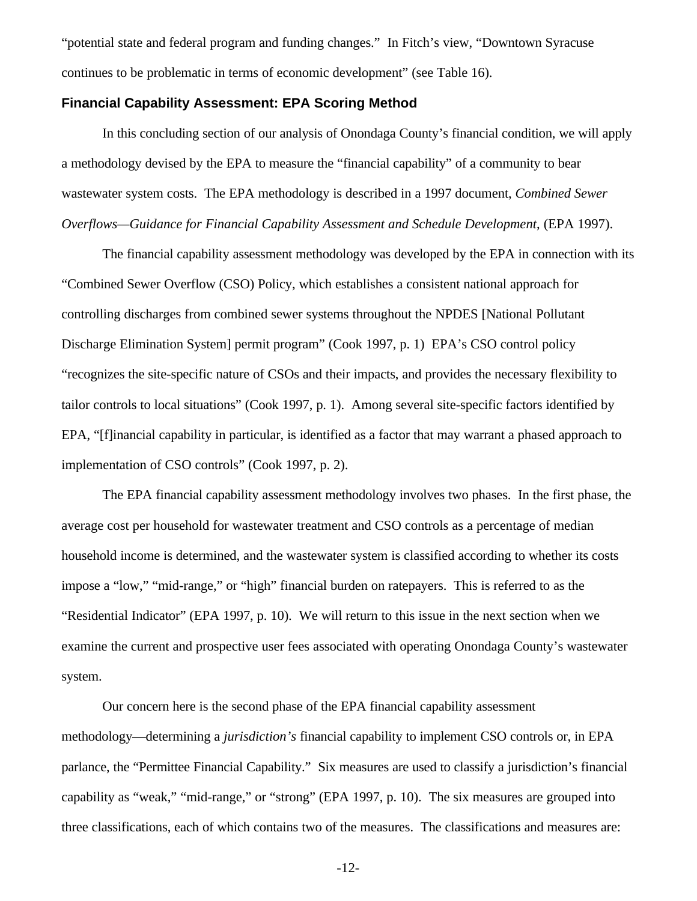"potential state and federal program and funding changes." In Fitch's view, "Downtown Syracuse continues to be problematic in terms of economic development" (see Table 16).

#### **Financial Capability Assessment: EPA Scoring Method**

In this concluding section of our analysis of Onondaga County's financial condition, we will apply a methodology devised by the EPA to measure the "financial capability" of a community to bear wastewater system costs. The EPA methodology is described in a 1997 document, *Combined Sewer Overflows—Guidance for Financial Capability Assessment and Schedule Development*, (EPA 1997).

The financial capability assessment methodology was developed by the EPA in connection with its "Combined Sewer Overflow (CSO) Policy, which establishes a consistent national approach for controlling discharges from combined sewer systems throughout the NPDES [National Pollutant Discharge Elimination System] permit program" (Cook 1997, p. 1) EPA's CSO control policy "recognizes the site-specific nature of CSOs and their impacts, and provides the necessary flexibility to tailor controls to local situations" (Cook 1997, p. 1). Among several site-specific factors identified by EPA, "[f]inancial capability in particular, is identified as a factor that may warrant a phased approach to implementation of CSO controls" (Cook 1997, p. 2).

The EPA financial capability assessment methodology involves two phases. In the first phase, the average cost per household for wastewater treatment and CSO controls as a percentage of median household income is determined, and the wastewater system is classified according to whether its costs impose a "low," "mid-range," or "high" financial burden on ratepayers. This is referred to as the "Residential Indicator" (EPA 1997, p. 10). We will return to this issue in the next section when we examine the current and prospective user fees associated with operating Onondaga County's wastewater system.

Our concern here is the second phase of the EPA financial capability assessment methodology—determining a *jurisdiction's* financial capability to implement CSO controls or, in EPA parlance, the "Permittee Financial Capability." Six measures are used to classify a jurisdiction's financial capability as "weak," "mid-range," or "strong" (EPA 1997, p. 10). The six measures are grouped into three classifications, each of which contains two of the measures. The classifications and measures are: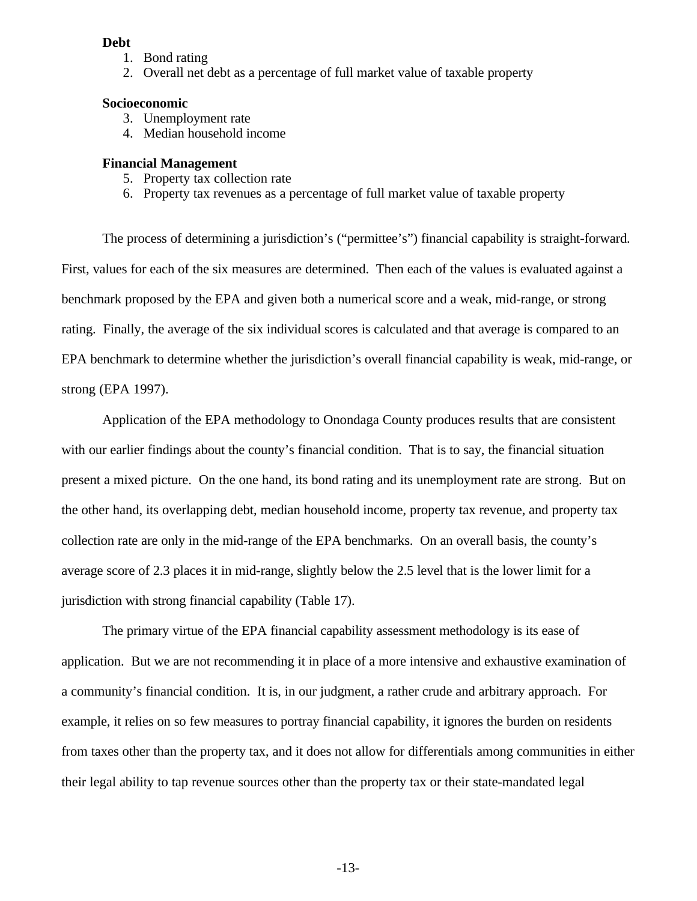#### **Debt**

- 1. Bond rating
- 2. Overall net debt as a percentage of full market value of taxable property

#### **Socioeconomic**

- 3. Unemployment rate
- 4. Median household income

#### **Financial Management**

- 5. Property tax collection rate
- 6. Property tax revenues as a percentage of full market value of taxable property

The process of determining a jurisdiction's ("permittee's") financial capability is straight-forward. First, values for each of the six measures are determined. Then each of the values is evaluated against a benchmark proposed by the EPA and given both a numerical score and a weak, mid-range, or strong rating. Finally, the average of the six individual scores is calculated and that average is compared to an EPA benchmark to determine whether the jurisdiction's overall financial capability is weak, mid-range, or strong (EPA 1997).

Application of the EPA methodology to Onondaga County produces results that are consistent with our earlier findings about the county's financial condition. That is to say, the financial situation present a mixed picture. On the one hand, its bond rating and its unemployment rate are strong. But on the other hand, its overlapping debt, median household income, property tax revenue, and property tax collection rate are only in the mid-range of the EPA benchmarks. On an overall basis, the county's average score of 2.3 places it in mid-range, slightly below the 2.5 level that is the lower limit for a jurisdiction with strong financial capability (Table 17).

The primary virtue of the EPA financial capability assessment methodology is its ease of application. But we are not recommending it in place of a more intensive and exhaustive examination of a community's financial condition. It is, in our judgment, a rather crude and arbitrary approach. For example, it relies on so few measures to portray financial capability, it ignores the burden on residents from taxes other than the property tax, and it does not allow for differentials among communities in either their legal ability to tap revenue sources other than the property tax or their state-mandated legal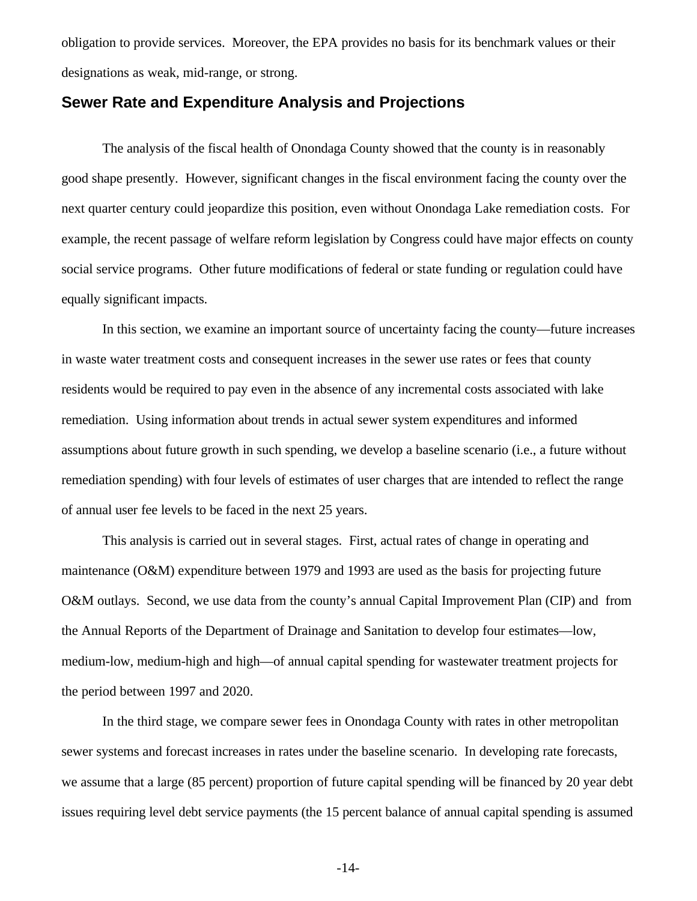obligation to provide services. Moreover, the EPA provides no basis for its benchmark values or their designations as weak, mid-range, or strong.

### **Sewer Rate and Expenditure Analysis and Projections**

The analysis of the fiscal health of Onondaga County showed that the county is in reasonably good shape presently. However, significant changes in the fiscal environment facing the county over the next quarter century could jeopardize this position, even without Onondaga Lake remediation costs. For example, the recent passage of welfare reform legislation by Congress could have major effects on county social service programs. Other future modifications of federal or state funding or regulation could have equally significant impacts.

In this section, we examine an important source of uncertainty facing the county—future increases in waste water treatment costs and consequent increases in the sewer use rates or fees that county residents would be required to pay even in the absence of any incremental costs associated with lake remediation. Using information about trends in actual sewer system expenditures and informed assumptions about future growth in such spending, we develop a baseline scenario (i.e., a future without remediation spending) with four levels of estimates of user charges that are intended to reflect the range of annual user fee levels to be faced in the next 25 years.

This analysis is carried out in several stages. First, actual rates of change in operating and maintenance (O&M) expenditure between 1979 and 1993 are used as the basis for projecting future O&M outlays. Second, we use data from the county's annual Capital Improvement Plan (CIP) and from the Annual Reports of the Department of Drainage and Sanitation to develop four estimates—low, medium-low, medium-high and high—of annual capital spending for wastewater treatment projects for the period between 1997 and 2020.

In the third stage, we compare sewer fees in Onondaga County with rates in other metropolitan sewer systems and forecast increases in rates under the baseline scenario. In developing rate forecasts, we assume that a large (85 percent) proportion of future capital spending will be financed by 20 year debt issues requiring level debt service payments (the 15 percent balance of annual capital spending is assumed

-14-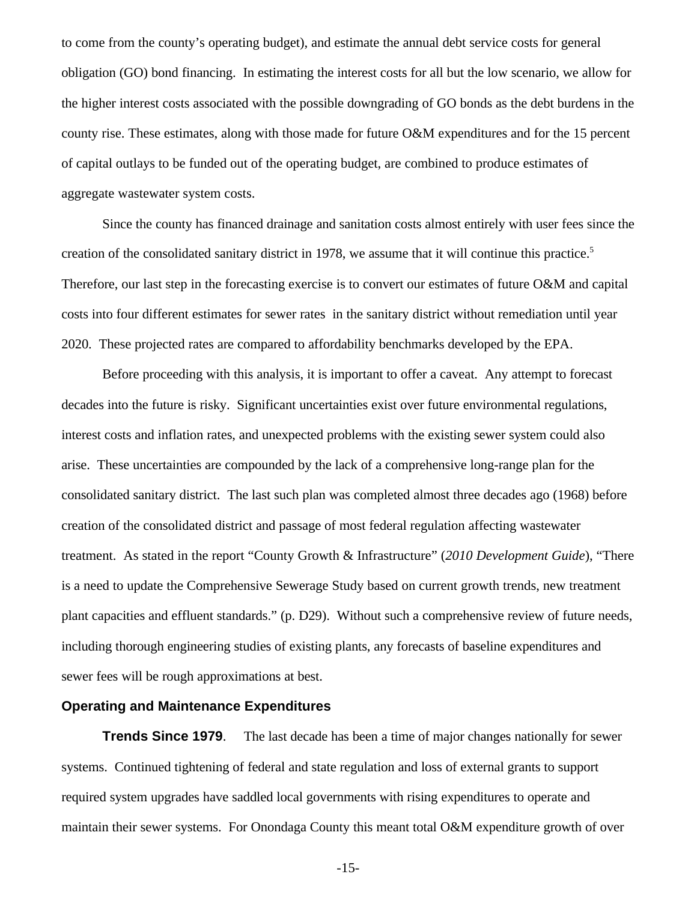to come from the county's operating budget), and estimate the annual debt service costs for general obligation (GO) bond financing. In estimating the interest costs for all but the low scenario, we allow for the higher interest costs associated with the possible downgrading of GO bonds as the debt burdens in the county rise. These estimates, along with those made for future O&M expenditures and for the 15 percent of capital outlays to be funded out of the operating budget, are combined to produce estimates of aggregate wastewater system costs.

Since the county has financed drainage and sanitation costs almost entirely with user fees since the creation of the consolidated sanitary district in 1978, we assume that it will continue this practice.5 Therefore, our last step in the forecasting exercise is to convert our estimates of future O&M and capital costs into four different estimates for sewer rates in the sanitary district without remediation until year 2020. These projected rates are compared to affordability benchmarks developed by the EPA.

Before proceeding with this analysis, it is important to offer a caveat. Any attempt to forecast decades into the future is risky. Significant uncertainties exist over future environmental regulations, interest costs and inflation rates, and unexpected problems with the existing sewer system could also arise. These uncertainties are compounded by the lack of a comprehensive long-range plan for the consolidated sanitary district. The last such plan was completed almost three decades ago (1968) before creation of the consolidated district and passage of most federal regulation affecting wastewater treatment. As stated in the report "County Growth & Infrastructure" (*2010 Development Guide*), "There is a need to update the Comprehensive Sewerage Study based on current growth trends, new treatment plant capacities and effluent standards." (p. D29). Without such a comprehensive review of future needs, including thorough engineering studies of existing plants, any forecasts of baseline expenditures and sewer fees will be rough approximations at best.

#### **Operating and Maintenance Expenditures**

**Trends Since 1979.** The last decade has been a time of major changes nationally for sewer systems. Continued tightening of federal and state regulation and loss of external grants to support required system upgrades have saddled local governments with rising expenditures to operate and maintain their sewer systems. For Onondaga County this meant total O&M expenditure growth of over

-15-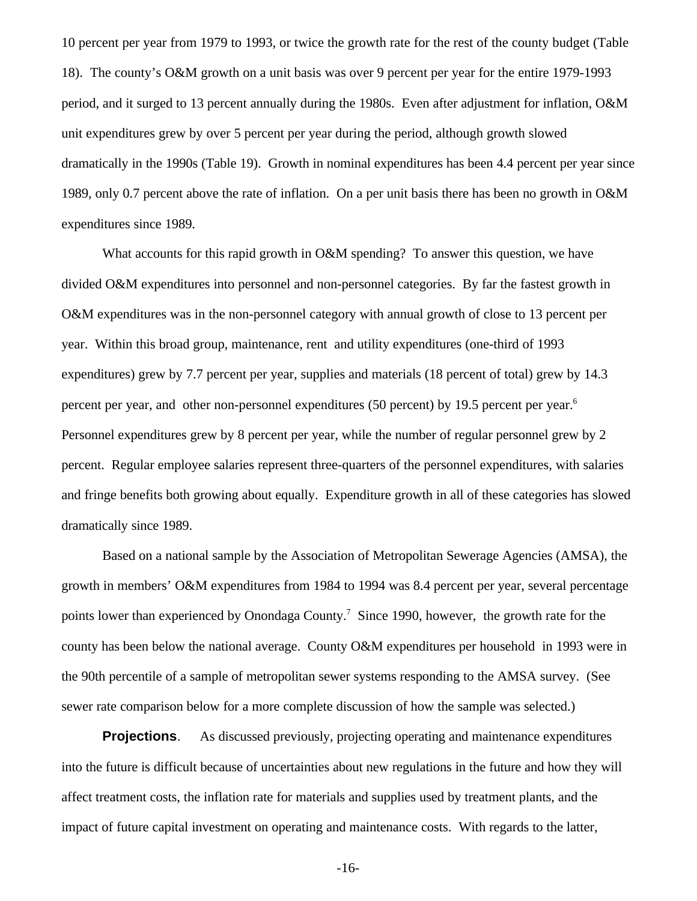10 percent per year from 1979 to 1993, or twice the growth rate for the rest of the county budget (Table 18). The county's O&M growth on a unit basis was over 9 percent per year for the entire 1979-1993 period, and it surged to 13 percent annually during the 1980s. Even after adjustment for inflation, O&M unit expenditures grew by over 5 percent per year during the period, although growth slowed dramatically in the 1990s (Table 19). Growth in nominal expenditures has been 4.4 percent per year since 1989, only 0.7 percent above the rate of inflation. On a per unit basis there has been no growth in O&M expenditures since 1989.

What accounts for this rapid growth in O&M spending? To answer this question, we have divided O&M expenditures into personnel and non-personnel categories. By far the fastest growth in O&M expenditures was in the non-personnel category with annual growth of close to 13 percent per year. Within this broad group, maintenance, rent and utility expenditures (one-third of 1993 expenditures) grew by 7.7 percent per year, supplies and materials (18 percent of total) grew by 14.3 percent per year, and other non-personnel expenditures (50 percent) by 19.5 percent per year.<sup>6</sup> Personnel expenditures grew by 8 percent per year, while the number of regular personnel grew by 2 percent. Regular employee salaries represent three-quarters of the personnel expenditures, with salaries and fringe benefits both growing about equally. Expenditure growth in all of these categories has slowed dramatically since 1989.

Based on a national sample by the Association of Metropolitan Sewerage Agencies (AMSA), the growth in members' O&M expenditures from 1984 to 1994 was 8.4 percent per year, several percentage points lower than experienced by Onondaga County.<sup>7</sup> Since 1990, however, the growth rate for the county has been below the national average. County O&M expenditures per household in 1993 were in the 90th percentile of a sample of metropolitan sewer systems responding to the AMSA survey. (See sewer rate comparison below for a more complete discussion of how the sample was selected.)

**Projections.** As discussed previously, projecting operating and maintenance expenditures into the future is difficult because of uncertainties about new regulations in the future and how they will affect treatment costs, the inflation rate for materials and supplies used by treatment plants, and the impact of future capital investment on operating and maintenance costs. With regards to the latter,

-16-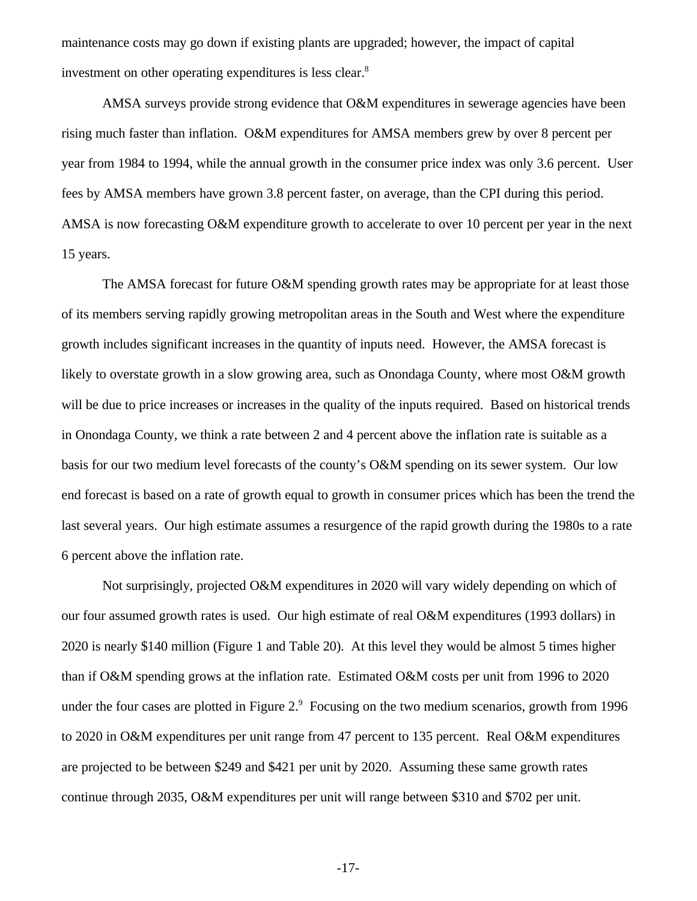maintenance costs may go down if existing plants are upgraded; however, the impact of capital investment on other operating expenditures is less clear.<sup>8</sup>

AMSA surveys provide strong evidence that O&M expenditures in sewerage agencies have been rising much faster than inflation. O&M expenditures for AMSA members grew by over 8 percent per year from 1984 to 1994, while the annual growth in the consumer price index was only 3.6 percent. User fees by AMSA members have grown 3.8 percent faster, on average, than the CPI during this period. AMSA is now forecasting O&M expenditure growth to accelerate to over 10 percent per year in the next 15 years.

The AMSA forecast for future O&M spending growth rates may be appropriate for at least those of its members serving rapidly growing metropolitan areas in the South and West where the expenditure growth includes significant increases in the quantity of inputs need. However, the AMSA forecast is likely to overstate growth in a slow growing area, such as Onondaga County, where most O&M growth will be due to price increases or increases in the quality of the inputs required. Based on historical trends in Onondaga County, we think a rate between 2 and 4 percent above the inflation rate is suitable as a basis for our two medium level forecasts of the county's O&M spending on its sewer system. Our low end forecast is based on a rate of growth equal to growth in consumer prices which has been the trend the last several years. Our high estimate assumes a resurgence of the rapid growth during the 1980s to a rate 6 percent above the inflation rate.

Not surprisingly, projected O&M expenditures in 2020 will vary widely depending on which of our four assumed growth rates is used. Our high estimate of real O&M expenditures (1993 dollars) in 2020 is nearly \$140 million (Figure 1 and Table 20). At this level they would be almost 5 times higher than if O&M spending grows at the inflation rate. Estimated O&M costs per unit from 1996 to 2020 under the four cases are plotted in Figure  $2<sup>9</sup>$  Focusing on the two medium scenarios, growth from 1996 to 2020 in O&M expenditures per unit range from 47 percent to 135 percent. Real O&M expenditures are projected to be between \$249 and \$421 per unit by 2020. Assuming these same growth rates continue through 2035, O&M expenditures per unit will range between \$310 and \$702 per unit.

-17-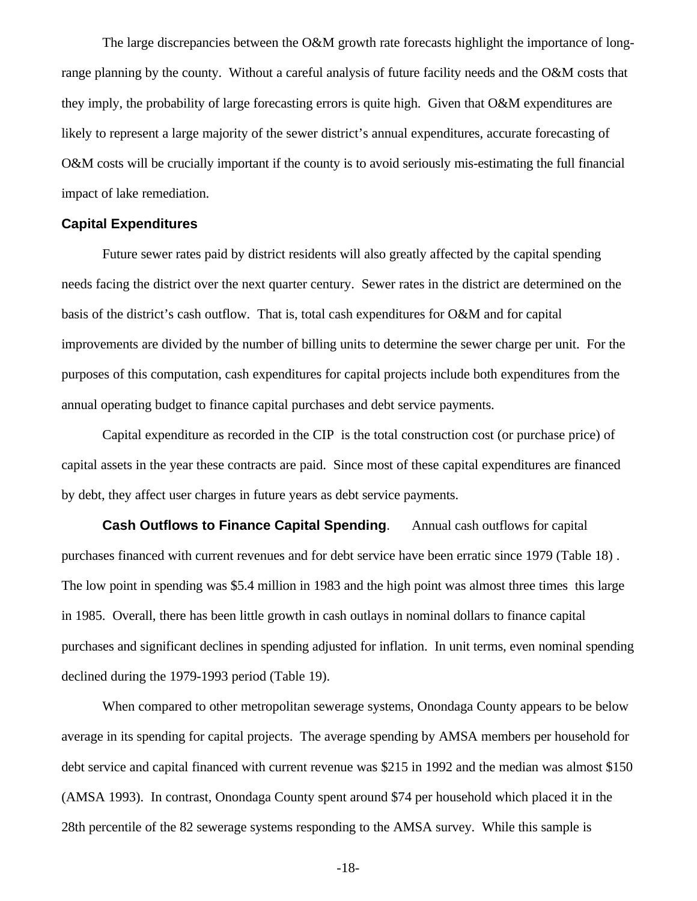The large discrepancies between the O&M growth rate forecasts highlight the importance of longrange planning by the county. Without a careful analysis of future facility needs and the O&M costs that they imply, the probability of large forecasting errors is quite high. Given that O&M expenditures are likely to represent a large majority of the sewer district's annual expenditures, accurate forecasting of O&M costs will be crucially important if the county is to avoid seriously mis-estimating the full financial impact of lake remediation.

#### **Capital Expenditures**

Future sewer rates paid by district residents will also greatly affected by the capital spending needs facing the district over the next quarter century. Sewer rates in the district are determined on the basis of the district's cash outflow. That is, total cash expenditures for O&M and for capital improvements are divided by the number of billing units to determine the sewer charge per unit. For the purposes of this computation, cash expenditures for capital projects include both expenditures from the annual operating budget to finance capital purchases and debt service payments.

Capital expenditure as recorded in the CIP is the total construction cost (or purchase price) of capital assets in the year these contracts are paid. Since most of these capital expenditures are financed by debt, they affect user charges in future years as debt service payments.

**Cash Outflows to Finance Capital Spending.** Annual cash outflows for capital purchases financed with current revenues and for debt service have been erratic since 1979 (Table 18) . The low point in spending was \$5.4 million in 1983 and the high point was almost three times this large in 1985. Overall, there has been little growth in cash outlays in nominal dollars to finance capital purchases and significant declines in spending adjusted for inflation. In unit terms, even nominal spending declined during the 1979-1993 period (Table 19).

When compared to other metropolitan sewerage systems, Onondaga County appears to be below average in its spending for capital projects. The average spending by AMSA members per household for debt service and capital financed with current revenue was \$215 in 1992 and the median was almost \$150 (AMSA 1993). In contrast, Onondaga County spent around \$74 per household which placed it in the 28th percentile of the 82 sewerage systems responding to the AMSA survey. While this sample is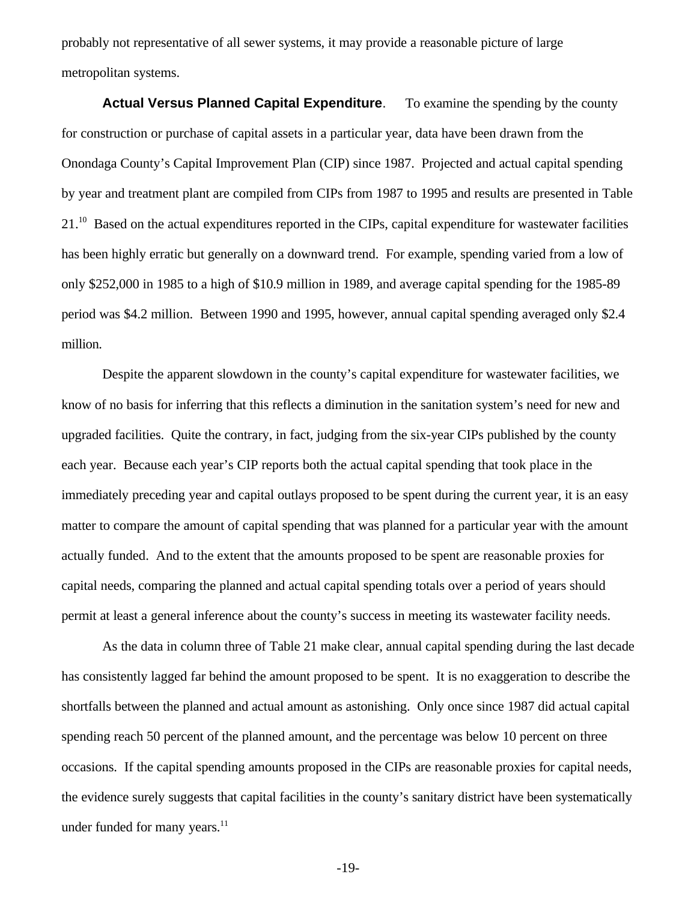probably not representative of all sewer systems, it may provide a reasonable picture of large metropolitan systems.

**Actual Versus Planned Capital Expenditure**. To examine the spending by the county for construction or purchase of capital assets in a particular year, data have been drawn from the Onondaga County's Capital Improvement Plan (CIP) since 1987. Projected and actual capital spending by year and treatment plant are compiled from CIPs from 1987 to 1995 and results are presented in Table 21.<sup>10</sup> Based on the actual expenditures reported in the CIPs, capital expenditure for wastewater facilities has been highly erratic but generally on a downward trend. For example, spending varied from a low of only \$252,000 in 1985 to a high of \$10.9 million in 1989, and average capital spending for the 1985-89 period was \$4.2 million. Between 1990 and 1995, however, annual capital spending averaged only \$2.4 million.

Despite the apparent slowdown in the county's capital expenditure for wastewater facilities, we know of no basis for inferring that this reflects a diminution in the sanitation system's need for new and upgraded facilities. Quite the contrary, in fact, judging from the six-year CIPs published by the county each year. Because each year's CIP reports both the actual capital spending that took place in the immediately preceding year and capital outlays proposed to be spent during the current year, it is an easy matter to compare the amount of capital spending that was planned for a particular year with the amount actually funded. And to the extent that the amounts proposed to be spent are reasonable proxies for capital needs, comparing the planned and actual capital spending totals over a period of years should permit at least a general inference about the county's success in meeting its wastewater facility needs.

As the data in column three of Table 21 make clear, annual capital spending during the last decade has consistently lagged far behind the amount proposed to be spent. It is no exaggeration to describe the shortfalls between the planned and actual amount as astonishing. Only once since 1987 did actual capital spending reach 50 percent of the planned amount, and the percentage was below 10 percent on three occasions. If the capital spending amounts proposed in the CIPs are reasonable proxies for capital needs, the evidence surely suggests that capital facilities in the county's sanitary district have been systematically under funded for many years.<sup>11</sup>

-19-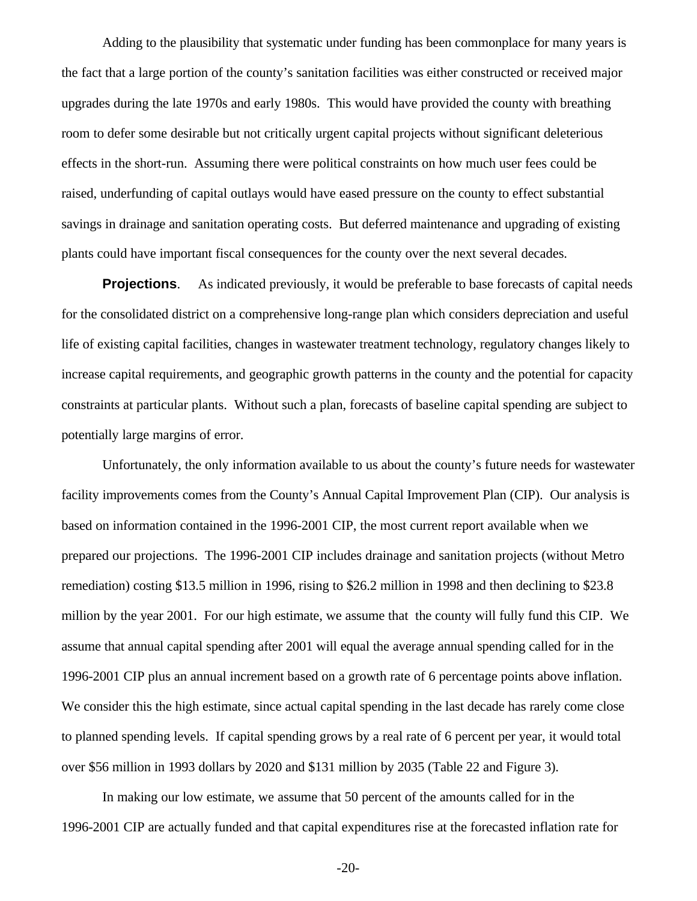Adding to the plausibility that systematic under funding has been commonplace for many years is the fact that a large portion of the county's sanitation facilities was either constructed or received major upgrades during the late 1970s and early 1980s. This would have provided the county with breathing room to defer some desirable but not critically urgent capital projects without significant deleterious effects in the short-run. Assuming there were political constraints on how much user fees could be raised, underfunding of capital outlays would have eased pressure on the county to effect substantial savings in drainage and sanitation operating costs. But deferred maintenance and upgrading of existing plants could have important fiscal consequences for the county over the next several decades.

**Projections.** As indicated previously, it would be preferable to base forecasts of capital needs for the consolidated district on a comprehensive long-range plan which considers depreciation and useful life of existing capital facilities, changes in wastewater treatment technology, regulatory changes likely to increase capital requirements, and geographic growth patterns in the county and the potential for capacity constraints at particular plants. Without such a plan, forecasts of baseline capital spending are subject to potentially large margins of error.

Unfortunately, the only information available to us about the county's future needs for wastewater facility improvements comes from the County's Annual Capital Improvement Plan (CIP). Our analysis is based on information contained in the 1996-2001 CIP, the most current report available when we prepared our projections. The 1996-2001 CIP includes drainage and sanitation projects (without Metro remediation) costing \$13.5 million in 1996, rising to \$26.2 million in 1998 and then declining to \$23.8 million by the year 2001. For our high estimate, we assume that the county will fully fund this CIP. We assume that annual capital spending after 2001 will equal the average annual spending called for in the 1996-2001 CIP plus an annual increment based on a growth rate of 6 percentage points above inflation. We consider this the high estimate, since actual capital spending in the last decade has rarely come close to planned spending levels. If capital spending grows by a real rate of 6 percent per year, it would total over \$56 million in 1993 dollars by 2020 and \$131 million by 2035 (Table 22 and Figure 3).

In making our low estimate, we assume that 50 percent of the amounts called for in the 1996-2001 CIP are actually funded and that capital expenditures rise at the forecasted inflation rate for

-20-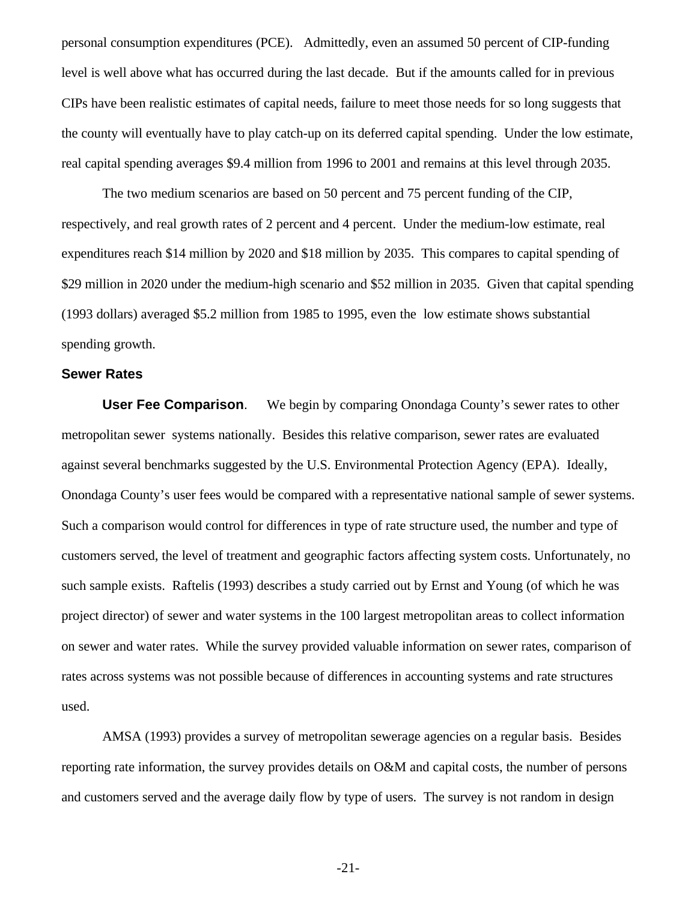personal consumption expenditures (PCE). Admittedly, even an assumed 50 percent of CIP-funding level is well above what has occurred during the last decade. But if the amounts called for in previous CIPs have been realistic estimates of capital needs, failure to meet those needs for so long suggests that the county will eventually have to play catch-up on its deferred capital spending. Under the low estimate, real capital spending averages \$9.4 million from 1996 to 2001 and remains at this level through 2035.

The two medium scenarios are based on 50 percent and 75 percent funding of the CIP, respectively, and real growth rates of 2 percent and 4 percent. Under the medium-low estimate, real expenditures reach \$14 million by 2020 and \$18 million by 2035. This compares to capital spending of \$29 million in 2020 under the medium-high scenario and \$52 million in 2035. Given that capital spending (1993 dollars) averaged \$5.2 million from 1985 to 1995, even the low estimate shows substantial spending growth.

#### **Sewer Rates**

**User Fee Comparison**. We begin by comparing Onondaga County's sewer rates to other metropolitan sewer systems nationally. Besides this relative comparison, sewer rates are evaluated against several benchmarks suggested by the U.S. Environmental Protection Agency (EPA). Ideally, Onondaga County's user fees would be compared with a representative national sample of sewer systems. Such a comparison would control for differences in type of rate structure used, the number and type of customers served, the level of treatment and geographic factors affecting system costs. Unfortunately, no such sample exists. Raftelis (1993) describes a study carried out by Ernst and Young (of which he was project director) of sewer and water systems in the 100 largest metropolitan areas to collect information on sewer and water rates. While the survey provided valuable information on sewer rates, comparison of rates across systems was not possible because of differences in accounting systems and rate structures used.

AMSA (1993) provides a survey of metropolitan sewerage agencies on a regular basis. Besides reporting rate information, the survey provides details on O&M and capital costs, the number of persons and customers served and the average daily flow by type of users. The survey is not random in design

-21-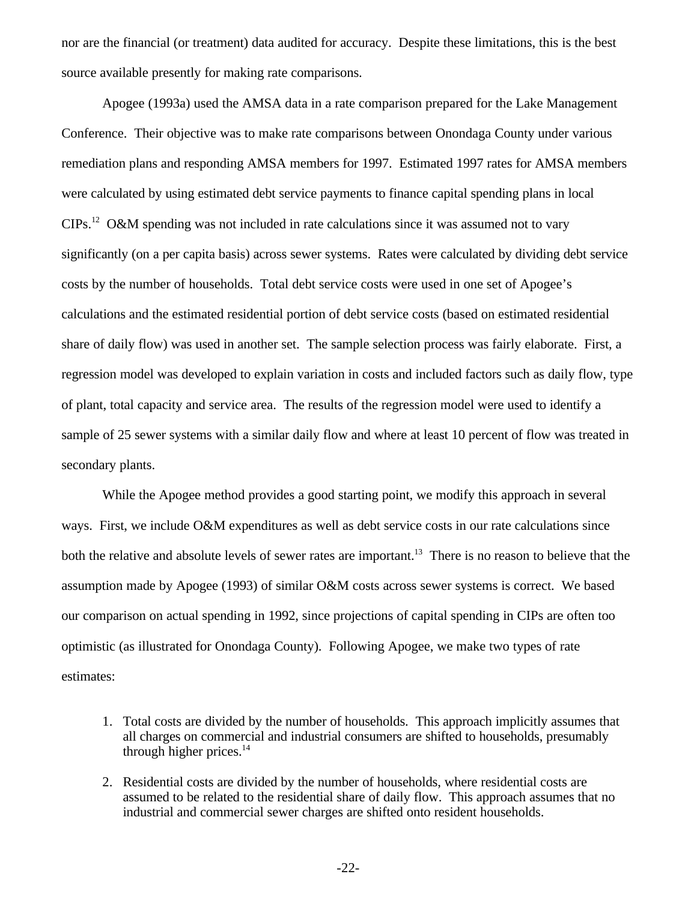nor are the financial (or treatment) data audited for accuracy. Despite these limitations, this is the best source available presently for making rate comparisons.

Apogee (1993a) used the AMSA data in a rate comparison prepared for the Lake Management Conference. Their objective was to make rate comparisons between Onondaga County under various remediation plans and responding AMSA members for 1997. Estimated 1997 rates for AMSA members were calculated by using estimated debt service payments to finance capital spending plans in local CIPs.12 O&M spending was not included in rate calculations since it was assumed not to vary significantly (on a per capita basis) across sewer systems. Rates were calculated by dividing debt service costs by the number of households. Total debt service costs were used in one set of Apogee's calculations and the estimated residential portion of debt service costs (based on estimated residential share of daily flow) was used in another set. The sample selection process was fairly elaborate. First, a regression model was developed to explain variation in costs and included factors such as daily flow, type of plant, total capacity and service area. The results of the regression model were used to identify a sample of 25 sewer systems with a similar daily flow and where at least 10 percent of flow was treated in secondary plants.

While the Apogee method provides a good starting point, we modify this approach in several ways. First, we include O&M expenditures as well as debt service costs in our rate calculations since both the relative and absolute levels of sewer rates are important.<sup>13</sup> There is no reason to believe that the assumption made by Apogee (1993) of similar O&M costs across sewer systems is correct. We based our comparison on actual spending in 1992, since projections of capital spending in CIPs are often too optimistic (as illustrated for Onondaga County). Following Apogee, we make two types of rate estimates:

- 1. Total costs are divided by the number of households. This approach implicitly assumes that all charges on commercial and industrial consumers are shifted to households, presumably through higher prices. $14$
- 2. Residential costs are divided by the number of households, where residential costs are assumed to be related to the residential share of daily flow. This approach assumes that no industrial and commercial sewer charges are shifted onto resident households.

-22-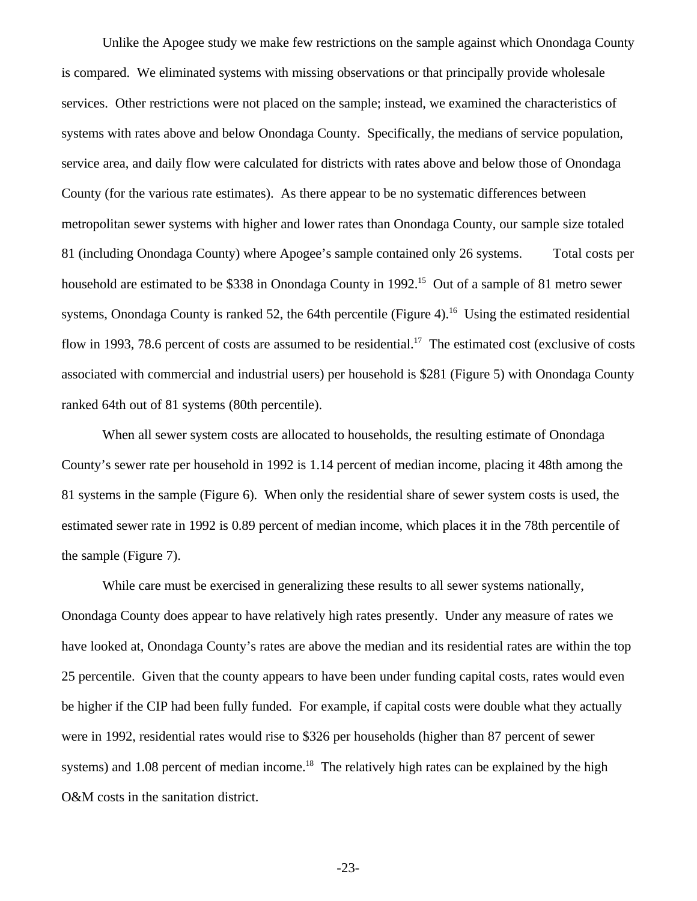Unlike the Apogee study we make few restrictions on the sample against which Onondaga County is compared. We eliminated systems with missing observations or that principally provide wholesale services. Other restrictions were not placed on the sample; instead, we examined the characteristics of systems with rates above and below Onondaga County. Specifically, the medians of service population, service area, and daily flow were calculated for districts with rates above and below those of Onondaga County (for the various rate estimates). As there appear to be no systematic differences between metropolitan sewer systems with higher and lower rates than Onondaga County, our sample size totaled 81 (including Onondaga County) where Apogee's sample contained only 26 systems. Total costs per household are estimated to be \$338 in Onondaga County in 1992.<sup>15</sup> Out of a sample of 81 metro sewer systems, Onondaga County is ranked 52, the 64th percentile (Figure 4).<sup>16</sup> Using the estimated residential flow in 1993, 78.6 percent of costs are assumed to be residential.<sup>17</sup> The estimated cost (exclusive of costs associated with commercial and industrial users) per household is \$281 (Figure 5) with Onondaga County ranked 64th out of 81 systems (80th percentile).

When all sewer system costs are allocated to households, the resulting estimate of Onondaga County's sewer rate per household in 1992 is 1.14 percent of median income, placing it 48th among the 81 systems in the sample (Figure 6). When only the residential share of sewer system costs is used, the estimated sewer rate in 1992 is 0.89 percent of median income, which places it in the 78th percentile of the sample (Figure 7).

While care must be exercised in generalizing these results to all sewer systems nationally, Onondaga County does appear to have relatively high rates presently. Under any measure of rates we have looked at, Onondaga County's rates are above the median and its residential rates are within the top 25 percentile. Given that the county appears to have been under funding capital costs, rates would even be higher if the CIP had been fully funded. For example, if capital costs were double what they actually were in 1992, residential rates would rise to \$326 per households (higher than 87 percent of sewer systems) and 1.08 percent of median income.<sup>18</sup> The relatively high rates can be explained by the high O&M costs in the sanitation district.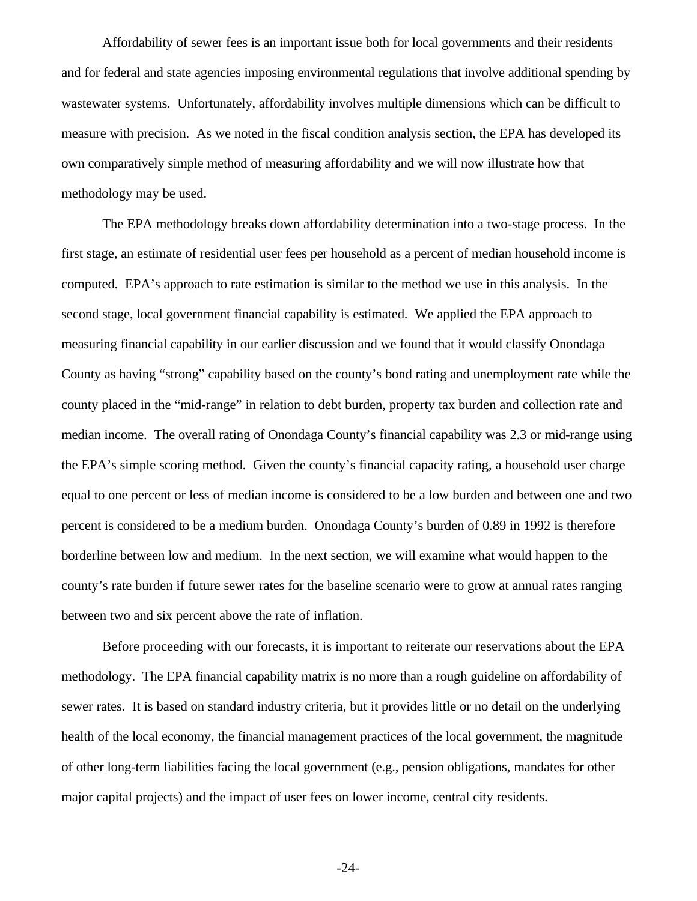Affordability of sewer fees is an important issue both for local governments and their residents and for federal and state agencies imposing environmental regulations that involve additional spending by wastewater systems. Unfortunately, affordability involves multiple dimensions which can be difficult to measure with precision. As we noted in the fiscal condition analysis section, the EPA has developed its own comparatively simple method of measuring affordability and we will now illustrate how that methodology may be used.

The EPA methodology breaks down affordability determination into a two-stage process. In the first stage, an estimate of residential user fees per household as a percent of median household income is computed. EPA's approach to rate estimation is similar to the method we use in this analysis. In the second stage, local government financial capability is estimated. We applied the EPA approach to measuring financial capability in our earlier discussion and we found that it would classify Onondaga County as having "strong" capability based on the county's bond rating and unemployment rate while the county placed in the "mid-range" in relation to debt burden, property tax burden and collection rate and median income. The overall rating of Onondaga County's financial capability was 2.3 or mid-range using the EPA's simple scoring method. Given the county's financial capacity rating, a household user charge equal to one percent or less of median income is considered to be a low burden and between one and two percent is considered to be a medium burden. Onondaga County's burden of 0.89 in 1992 is therefore borderline between low and medium. In the next section, we will examine what would happen to the county's rate burden if future sewer rates for the baseline scenario were to grow at annual rates ranging between two and six percent above the rate of inflation.

Before proceeding with our forecasts, it is important to reiterate our reservations about the EPA methodology. The EPA financial capability matrix is no more than a rough guideline on affordability of sewer rates. It is based on standard industry criteria, but it provides little or no detail on the underlying health of the local economy, the financial management practices of the local government, the magnitude of other long-term liabilities facing the local government (e.g., pension obligations, mandates for other major capital projects) and the impact of user fees on lower income, central city residents.

-24-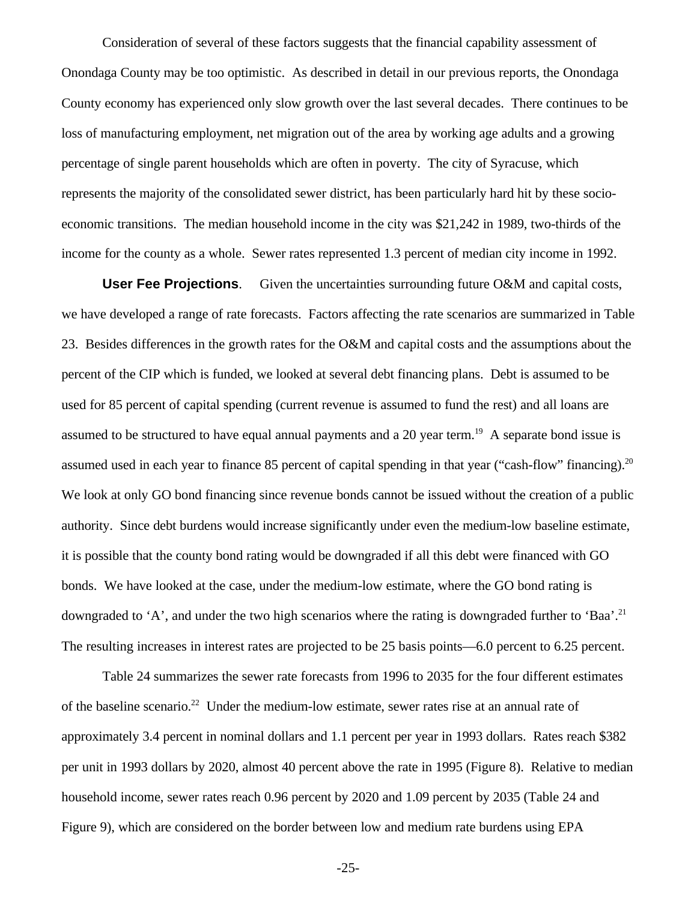Consideration of several of these factors suggests that the financial capability assessment of Onondaga County may be too optimistic. As described in detail in our previous reports, the Onondaga County economy has experienced only slow growth over the last several decades. There continues to be loss of manufacturing employment, net migration out of the area by working age adults and a growing percentage of single parent households which are often in poverty. The city of Syracuse, which represents the majority of the consolidated sewer district, has been particularly hard hit by these socioeconomic transitions. The median household income in the city was \$21,242 in 1989, two-thirds of the income for the county as a whole. Sewer rates represented 1.3 percent of median city income in 1992.

**User Fee Projections**. Given the uncertainties surrounding future O&M and capital costs, we have developed a range of rate forecasts. Factors affecting the rate scenarios are summarized in Table 23. Besides differences in the growth rates for the O&M and capital costs and the assumptions about the percent of the CIP which is funded, we looked at several debt financing plans. Debt is assumed to be used for 85 percent of capital spending (current revenue is assumed to fund the rest) and all loans are assumed to be structured to have equal annual payments and a 20 year term.<sup>19</sup> A separate bond issue is assumed used in each year to finance 85 percent of capital spending in that year ("cash-flow" financing).<sup>20</sup> We look at only GO bond financing since revenue bonds cannot be issued without the creation of a public authority. Since debt burdens would increase significantly under even the medium-low baseline estimate, it is possible that the county bond rating would be downgraded if all this debt were financed with GO bonds. We have looked at the case, under the medium-low estimate, where the GO bond rating is downgraded to 'A', and under the two high scenarios where the rating is downgraded further to 'Baa'.<sup>21</sup> The resulting increases in interest rates are projected to be 25 basis points—6.0 percent to 6.25 percent.

Table 24 summarizes the sewer rate forecasts from 1996 to 2035 for the four different estimates of the baseline scenario.<sup>22</sup> Under the medium-low estimate, sewer rates rise at an annual rate of approximately 3.4 percent in nominal dollars and 1.1 percent per year in 1993 dollars. Rates reach \$382 per unit in 1993 dollars by 2020, almost 40 percent above the rate in 1995 (Figure 8). Relative to median household income, sewer rates reach 0.96 percent by 2020 and 1.09 percent by 2035 (Table 24 and Figure 9), which are considered on the border between low and medium rate burdens using EPA

-25-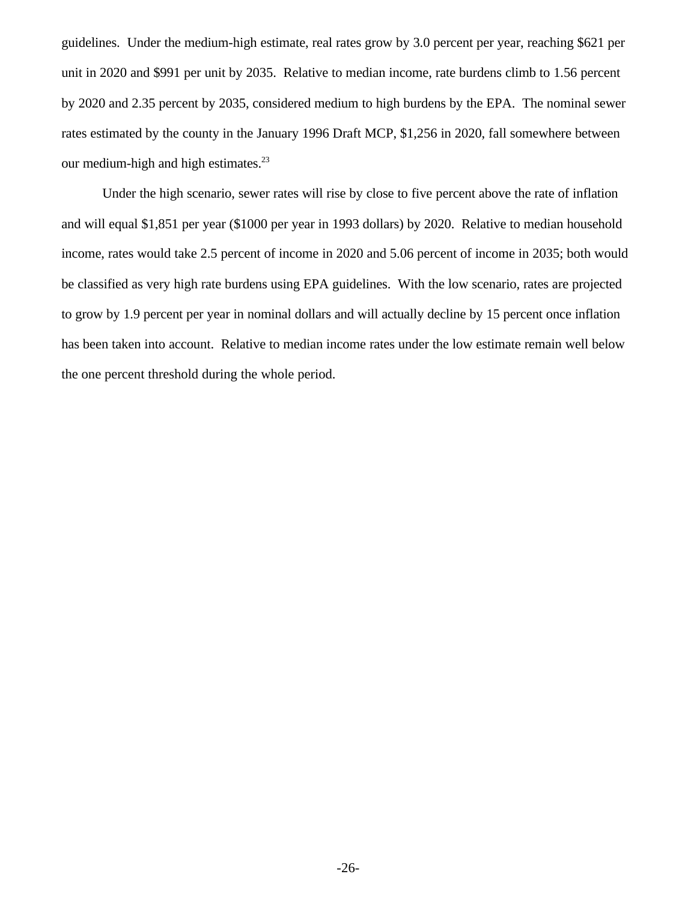guidelines. Under the medium-high estimate, real rates grow by 3.0 percent per year, reaching \$621 per unit in 2020 and \$991 per unit by 2035. Relative to median income, rate burdens climb to 1.56 percent by 2020 and 2.35 percent by 2035, considered medium to high burdens by the EPA. The nominal sewer rates estimated by the county in the January 1996 Draft MCP, \$1,256 in 2020, fall somewhere between our medium-high and high estimates.<sup>23</sup>

Under the high scenario, sewer rates will rise by close to five percent above the rate of inflation and will equal \$1,851 per year (\$1000 per year in 1993 dollars) by 2020. Relative to median household income, rates would take 2.5 percent of income in 2020 and 5.06 percent of income in 2035; both would be classified as very high rate burdens using EPA guidelines. With the low scenario, rates are projected to grow by 1.9 percent per year in nominal dollars and will actually decline by 15 percent once inflation has been taken into account. Relative to median income rates under the low estimate remain well below the one percent threshold during the whole period.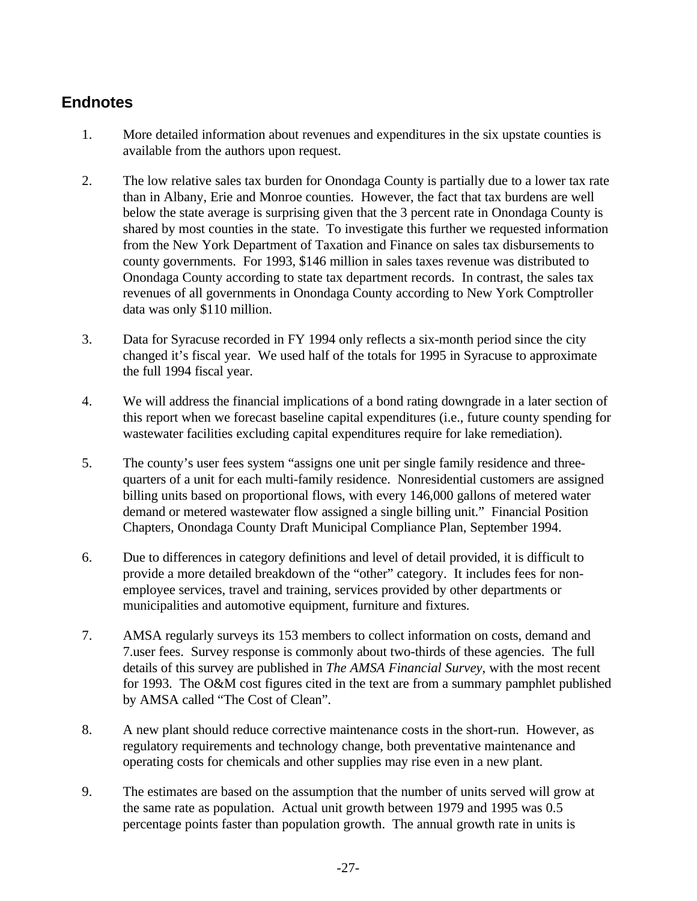# **Endnotes**

- 1. More detailed information about revenues and expenditures in the six upstate counties is available from the authors upon request.
- 2. The low relative sales tax burden for Onondaga County is partially due to a lower tax rate than in Albany, Erie and Monroe counties. However, the fact that tax burdens are well below the state average is surprising given that the 3 percent rate in Onondaga County is shared by most counties in the state. To investigate this further we requested information from the New York Department of Taxation and Finance on sales tax disbursements to county governments. For 1993, \$146 million in sales taxes revenue was distributed to Onondaga County according to state tax department records. In contrast, the sales tax revenues of all governments in Onondaga County according to New York Comptroller data was only \$110 million.
- 3. Data for Syracuse recorded in FY 1994 only reflects a six-month period since the city changed it's fiscal year. We used half of the totals for 1995 in Syracuse to approximate the full 1994 fiscal year.
- 4. We will address the financial implications of a bond rating downgrade in a later section of this report when we forecast baseline capital expenditures (i.e., future county spending for wastewater facilities excluding capital expenditures require for lake remediation).
- 5. The county's user fees system "assigns one unit per single family residence and threequarters of a unit for each multi-family residence. Nonresidential customers are assigned billing units based on proportional flows, with every 146,000 gallons of metered water demand or metered wastewater flow assigned a single billing unit." Financial Position Chapters, Onondaga County Draft Municipal Compliance Plan, September 1994.
- 6. Due to differences in category definitions and level of detail provided, it is difficult to provide a more detailed breakdown of the "other" category. It includes fees for nonemployee services, travel and training, services provided by other departments or municipalities and automotive equipment, furniture and fixtures.
- 7. AMSA regularly surveys its 153 members to collect information on costs, demand and 7.user fees. Survey response is commonly about two-thirds of these agencies. The full details of this survey are published in *The AMSA Financial Survey*, with the most recent for 1993. The O&M cost figures cited in the text are from a summary pamphlet published by AMSA called "The Cost of Clean".
- 8. A new plant should reduce corrective maintenance costs in the short-run. However, as regulatory requirements and technology change, both preventative maintenance and operating costs for chemicals and other supplies may rise even in a new plant.
- 9. The estimates are based on the assumption that the number of units served will grow at the same rate as population. Actual unit growth between 1979 and 1995 was 0.5 percentage points faster than population growth. The annual growth rate in units is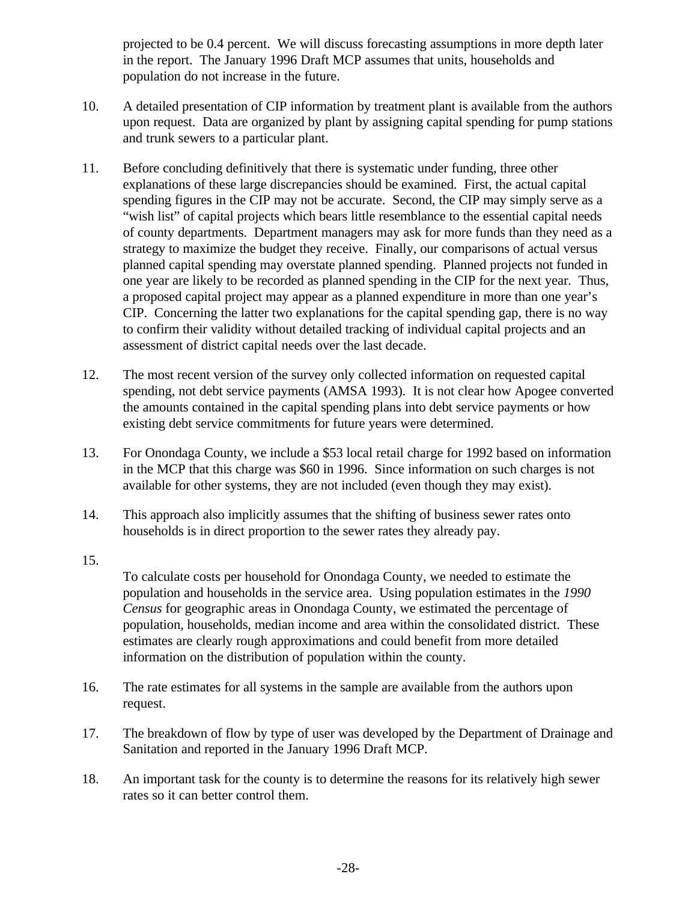projected to be 0.4 percent. We will discuss forecasting assumptions in more depth later in the report. The January 1996 Draft MCP assumes that units, households and population do not increase in the future.

- 10. A detailed presentation of CIP information by treatment plant is available from the authors upon request. Data are organized by plant by assigning capital spending for pump stations and trunk sewers to a particular plant.
- 11. Before concluding definitively that there is systematic under funding, three other explanations of these large discrepancies should be examined. First, the actual capital spending figures in the CIP may not be accurate. Second, the CIP may simply serve as a "wish list" of capital projects which bears little resemblance to the essential capital needs of county departments. Department managers may ask for more funds than they need as a strategy to maximize the budget they receive. Finally, our comparisons of actual versus planned capital spending may overstate planned spending. Planned projects not funded in one year are likely to be recorded as planned spending in the CIP for the next year. Thus, a proposed capital project may appear as a planned expenditure in more than one year's CIP. Concerning the latter two explanations for the capital spending gap, there is no way to confirm their validity without detailed tracking of individual capital projects and an assessment of district capital needs over the last decade.
- 12. The most recent version of the survey only collected information on requested capital spending, not debt service payments (AMSA 1993). It is not clear how Apogee converted the amounts contained in the capital spending plans into debt service payments or how existing debt service commitments for future years were determined.
- 13. For Onondaga County, we include a \$53 local retail charge for 1992 based on information in the MCP that this charge was \$60 in 1996. Since information on such charges is not available for other systems, they are not included (even though they may exist).
- 14. This approach also implicitly assumes that the shifting of business sewer rates onto households is in direct proportion to the sewer rates they already pay.

15.

- To calculate costs per household for Onondaga County, we needed to estimate the population and households in the service area. Using population estimates in the *1990 Census* for geographic areas in Onondaga County, we estimated the percentage of population, households, median income and area within the consolidated district. These estimates are clearly rough approximations and could benefit from more detailed information on the distribution of population within the county.
- 16. The rate estimates for all systems in the sample are available from the authors upon request.
- 17. The breakdown of flow by type of user was developed by the Department of Drainage and Sanitation and reported in the January 1996 Draft MCP.
- 18. An important task for the county is to determine the reasons for its relatively high sewer rates so it can better control them.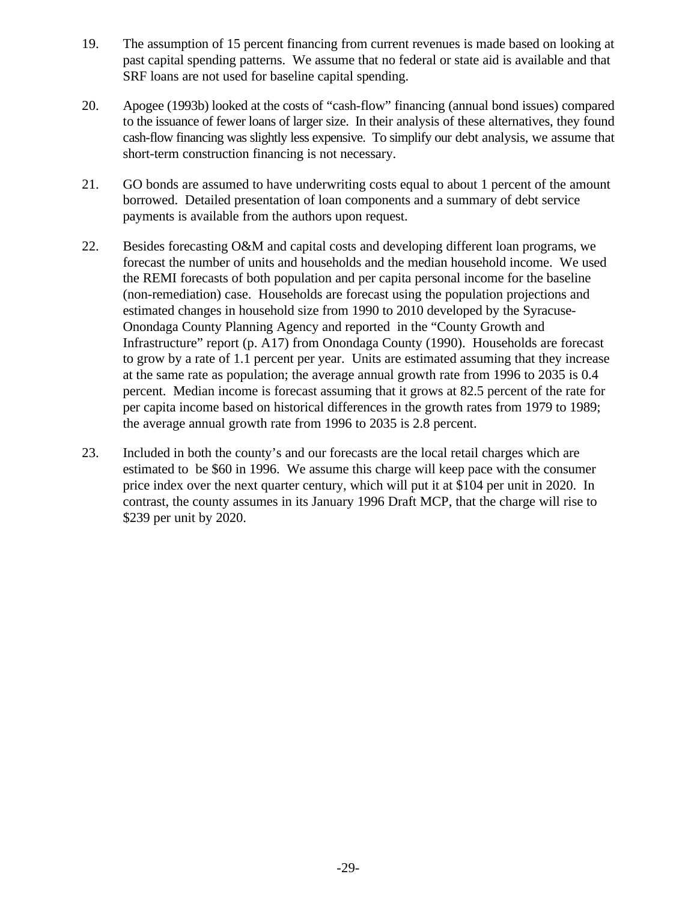- 19. The assumption of 15 percent financing from current revenues is made based on looking at past capital spending patterns. We assume that no federal or state aid is available and that SRF loans are not used for baseline capital spending.
- 20. Apogee (1993b) looked at the costs of "cash-flow" financing (annual bond issues) compared to the issuance of fewer loans of larger size. In their analysis of these alternatives, they found cash-flow financing was slightly less expensive. To simplify our debt analysis, we assume that short-term construction financing is not necessary.
- 21. GO bonds are assumed to have underwriting costs equal to about 1 percent of the amount borrowed. Detailed presentation of loan components and a summary of debt service payments is available from the authors upon request.
- 22. Besides forecasting O&M and capital costs and developing different loan programs, we forecast the number of units and households and the median household income. We used the REMI forecasts of both population and per capita personal income for the baseline (non-remediation) case. Households are forecast using the population projections and estimated changes in household size from 1990 to 2010 developed by the Syracuse-Onondaga County Planning Agency and reported in the "County Growth and Infrastructure" report (p. A17) from Onondaga County (1990). Households are forecast to grow by a rate of 1.1 percent per year. Units are estimated assuming that they increase at the same rate as population; the average annual growth rate from 1996 to 2035 is 0.4 percent. Median income is forecast assuming that it grows at 82.5 percent of the rate for per capita income based on historical differences in the growth rates from 1979 to 1989; the average annual growth rate from 1996 to 2035 is 2.8 percent.
- 23. Included in both the county's and our forecasts are the local retail charges which are estimated to be \$60 in 1996. We assume this charge will keep pace with the consumer price index over the next quarter century, which will put it at \$104 per unit in 2020. In contrast, the county assumes in its January 1996 Draft MCP, that the charge will rise to \$239 per unit by 2020.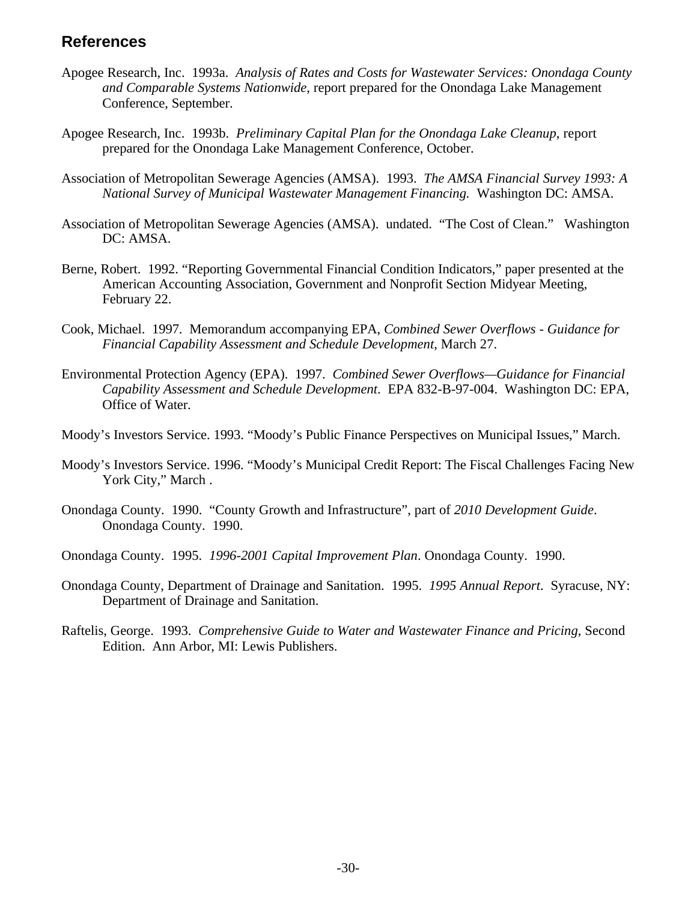# **References**

- Apogee Research, Inc. 1993a. *Analysis of Rates and Costs for Wastewater Services: Onondaga County and Comparable Systems Nationwide*, report prepared for the Onondaga Lake Management Conference, September.
- Apogee Research, Inc. 1993b. *Preliminary Capital Plan for the Onondaga Lake Cleanup*, report prepared for the Onondaga Lake Management Conference, October.
- Association of Metropolitan Sewerage Agencies (AMSA). 1993. *The AMSA Financial Survey 1993: A National Survey of Municipal Wastewater Management Financing.* Washington DC: AMSA.
- Association of Metropolitan Sewerage Agencies (AMSA). undated. "The Cost of Clean." Washington DC: AMSA.
- Berne, Robert. 1992. "Reporting Governmental Financial Condition Indicators," paper presented at the American Accounting Association, Government and Nonprofit Section Midyear Meeting, February 22.
- Cook, Michael. 1997. Memorandum accompanying EPA, *Combined Sewer Overflows Guidance for Financial Capability Assessment and Schedule Development*, March 27.
- Environmental Protection Agency (EPA). 1997. *Combined Sewer Overflows—Guidance for Financial Capability Assessment and Schedule Development*. EPA 832-B-97-004. Washington DC: EPA, Office of Water.
- Moody's Investors Service. 1993. "Moody's Public Finance Perspectives on Municipal Issues," March.
- Moody's Investors Service. 1996. "Moody's Municipal Credit Report: The Fiscal Challenges Facing New York City," March .
- Onondaga County. 1990. "County Growth and Infrastructure", part of *2010 Development Guide*. Onondaga County. 1990.
- Onondaga County. 1995. *1996-2001 Capital Improvement Plan*. Onondaga County. 1990.
- Onondaga County, Department of Drainage and Sanitation. 1995. *1995 Annual Report*. Syracuse, NY: Department of Drainage and Sanitation.
- Raftelis, George. 1993. *Comprehensive Guide to Water and Wastewater Finance and Pricing*, Second Edition. Ann Arbor, MI: Lewis Publishers.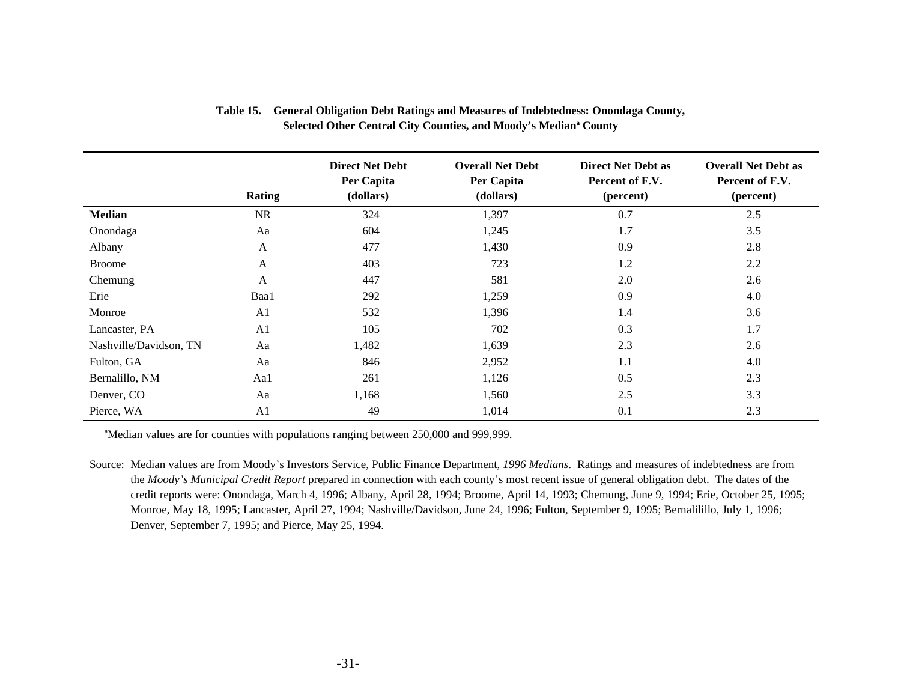|                        | <b>Rating</b>  | <b>Direct Net Debt</b><br>Per Capita<br>(dollars) | <b>Overall Net Debt</b><br>Per Capita<br>(dollars) | <b>Direct Net Debt as</b><br>Percent of F.V.<br>(percent) | <b>Overall Net Debt as</b><br>Percent of F.V.<br>(percent) |
|------------------------|----------------|---------------------------------------------------|----------------------------------------------------|-----------------------------------------------------------|------------------------------------------------------------|
| <b>Median</b>          | <b>NR</b>      | 324                                               | 1,397                                              | 0.7                                                       | 2.5                                                        |
| Onondaga               | Aa             | 604                                               | 1,245                                              | 1.7                                                       | 3.5                                                        |
| Albany                 | A              | 477                                               | 1,430                                              | 0.9                                                       | 2.8                                                        |
| <b>Broome</b>          | A              | 403                                               | 723                                                | 1.2                                                       | 2.2                                                        |
| Chemung                | A              | 447                                               | 581                                                | 2.0                                                       | 2.6                                                        |
| Erie                   | Baa1           | 292                                               | 1,259                                              | 0.9                                                       | 4.0                                                        |
| Monroe                 | A <sub>1</sub> | 532                                               | 1,396                                              | 1.4                                                       | 3.6                                                        |
| Lancaster, PA          | A <sub>1</sub> | 105                                               | 702                                                | 0.3                                                       | 1.7                                                        |
| Nashville/Davidson, TN | Aa             | 1,482                                             | 1,639                                              | 2.3                                                       | 2.6                                                        |
| Fulton, GA             | Aa             | 846                                               | 2,952                                              | 1.1                                                       | 4.0                                                        |
| Bernalillo, NM         | Aal            | 261                                               | 1,126                                              | 0.5                                                       | 2.3                                                        |
| Denver, CO             | Aa             | 1,168                                             | 1,560                                              | 2.5                                                       | 3.3                                                        |
| Pierce, WA             | A <sub>1</sub> | 49                                                | 1,014                                              | 0.1                                                       | 2.3                                                        |

#### **Table 15. General Obligation Debt Ratings and Measures of Indebtedness: Onondaga County,**  Selected Other Central City Counties, and Moody's Median<sup>a</sup> County

<sup>a</sup>Median values are for counties with populations ranging between 250,000 and 999,999.

Source: Median values are from Moody's Investors Service, Public Finance Department, *1996 Medians*. Ratings and measures of indebtedness are from the *Moody's Municipal Credit Report* prepared in connection with each county's most recent issue of general obligation debt. The dates of the credit reports were: Onondaga, March 4, 1996; Albany, April 28, 1994; Broome, April 14, 1993; Chemung, June 9, 1994; Erie, October 25, 1995; Monroe, May 18, 1995; Lancaster, April 27, 1994; Nashville/Davidson, June 24, 1996; Fulton, September 9, 1995; Bernalilillo, July 1, 1996; Denver, September 7, 1995; and Pierce, May 25, 1994.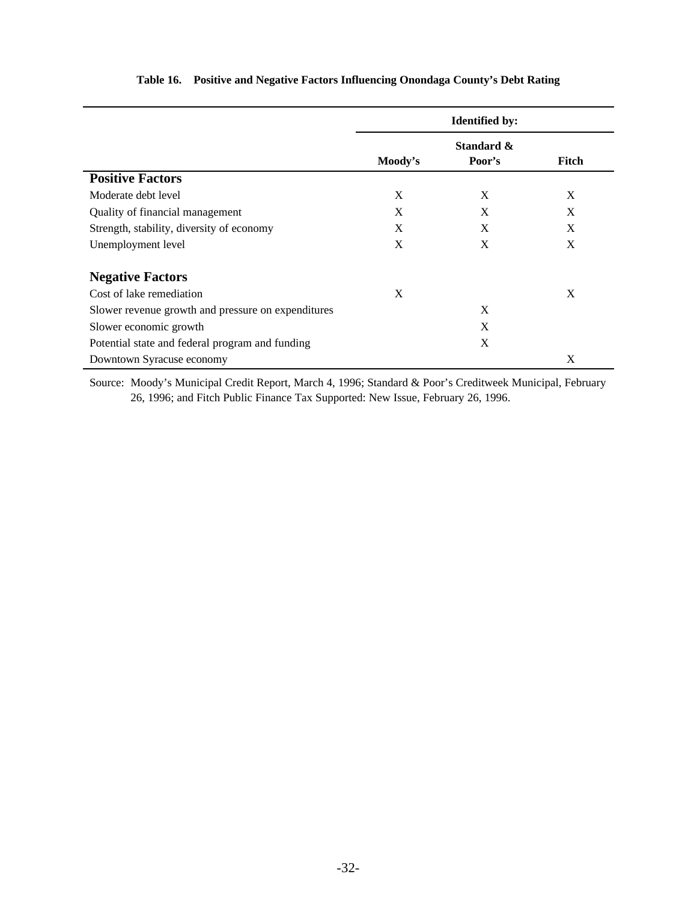|                                                    | <b>Identified by:</b> |                      |       |
|----------------------------------------------------|-----------------------|----------------------|-------|
|                                                    | Moody's               | Standard &<br>Poor's | Fitch |
| <b>Positive Factors</b>                            |                       |                      |       |
| Moderate debt level                                | X                     | X                    | X     |
| Quality of financial management                    | X                     | X                    | X     |
| Strength, stability, diversity of economy          | X                     | X                    | X     |
| Unemployment level                                 | X                     | X                    | X     |
| <b>Negative Factors</b>                            |                       |                      |       |
| Cost of lake remediation                           | X                     |                      | X     |
| Slower revenue growth and pressure on expenditures |                       | X                    |       |
| Slower economic growth                             |                       | X                    |       |
| Potential state and federal program and funding    |                       | X                    |       |
| Downtown Syracuse economy                          |                       |                      | X     |

#### **Table 16. Positive and Negative Factors Influencing Onondaga County's Debt Rating**

Source: Moody's Municipal Credit Report, March 4, 1996; Standard & Poor's Creditweek Municipal, February 26, 1996; and Fitch Public Finance Tax Supported: New Issue, February 26, 1996.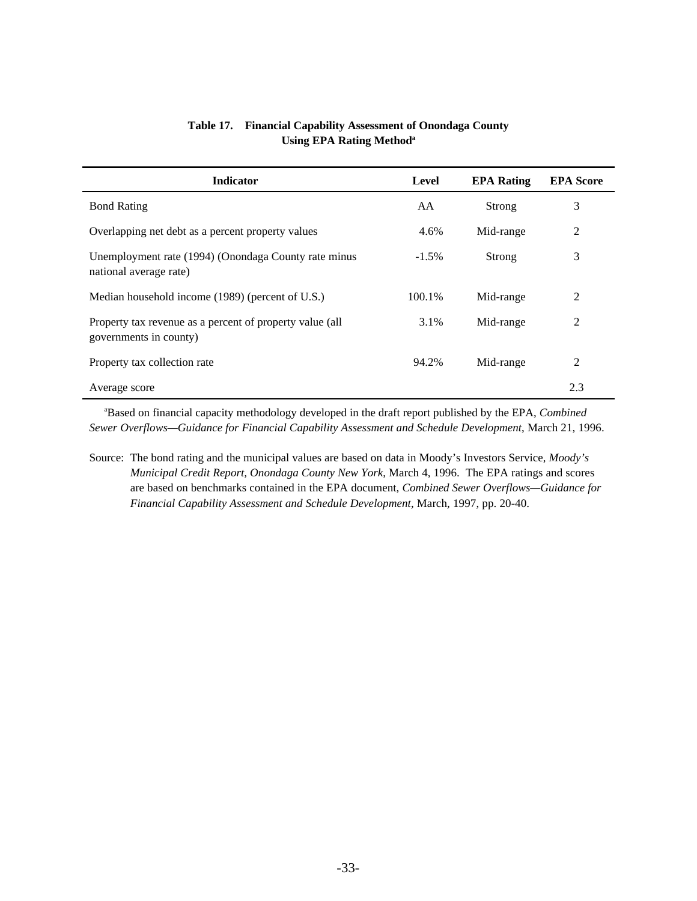| <b>Indicator</b>                                                                   | Level    | <b>EPA Rating</b> | <b>EPA Score</b> |
|------------------------------------------------------------------------------------|----------|-------------------|------------------|
| <b>Bond Rating</b>                                                                 | AA       | Strong            | 3                |
| Overlapping net debt as a percent property values                                  | 4.6%     | Mid-range         | 2                |
| Unemployment rate (1994) (Onondaga County rate minus<br>national average rate)     | $-1.5\%$ | Strong            | 3                |
| Median household income (1989) (percent of U.S.)                                   | 100.1%   | Mid-range         | 2                |
| Property tax revenue as a percent of property value (all<br>governments in county) | 3.1%     | Mid-range         | 2                |
| Property tax collection rate                                                       | 94.2%    | Mid-range         | 2                |
| Average score                                                                      |          |                   | 2.3              |

#### **Table 17. Financial Capability Assessment of Onondaga County Using EPA Rating Method<sup>a</sup>**

 a Based on financial capacity methodology developed in the draft report published by the EPA, *Combined Sewer Overflows—Guidance for Financial Capability Assessment and Schedule Development*, March 21, 1996.

Source: The bond rating and the municipal values are based on data in Moody's Investors Service, *Moody's Municipal Credit Report, Onondaga County New York*, March 4, 1996. The EPA ratings and scores are based on benchmarks contained in the EPA document, *Combined Sewer Overflows—Guidance for Financial Capability Assessment and Schedule Development*, March, 1997, pp. 20-40.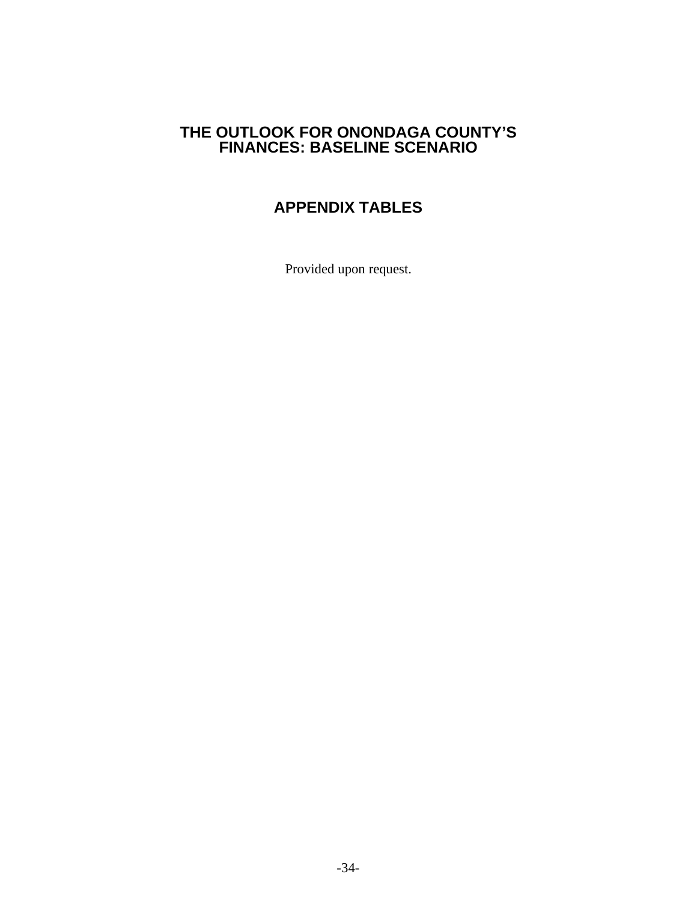# **THE OUTLOOK FOR ONONDAGA COUNTY'S FINANCES: BASELINE SCENARIO**

# **APPENDIX TABLES**

Provided upon request.